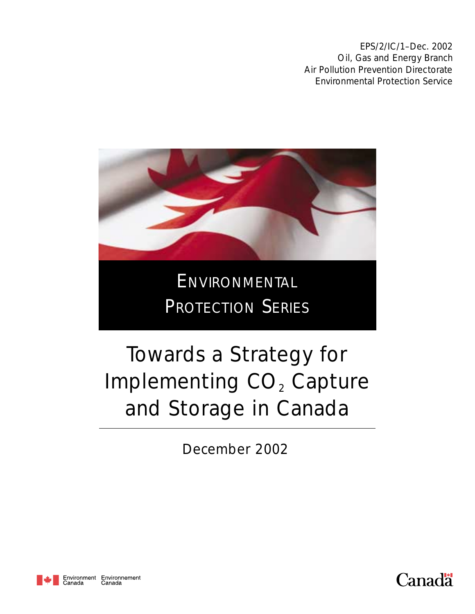EPS/2/IC/1–Dec. 2002 Oil, Gas and Energy Branch Air Pollution Prevention Directorate Environmental Protection Service



# ENVIRONMENTAL PROTECTION SERIES

# Towards a Strategy for Implementing CO<sub>2</sub> Capture and Storage in Canada

December 2002



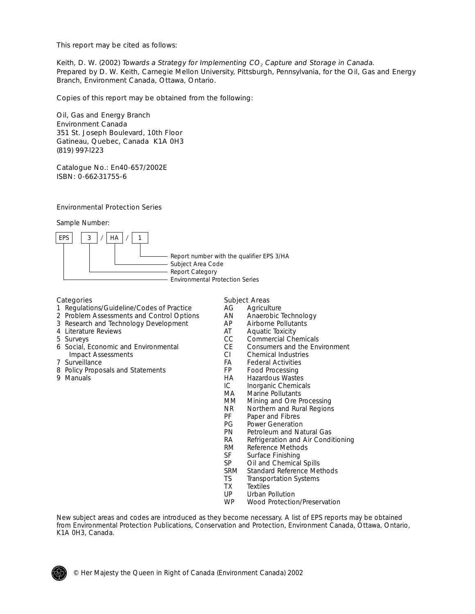This report may be cited as follows:

Keith, D. W. (2002) Towards a Strategy for Implementing  $CO<sub>2</sub>$  Capture and Storage in Canada. Prepared by D. W. Keith, Carnegie Mellon University, Pittsburgh, Pennsylvania, for the Oil, Gas and Energy Branch, Environment Canada, Ottawa, Ontario.

Copies of this report may be obtained from the following:

Oil, Gas and Energy Branch Environment Canada 351 St. Joseph Boulevard, 10th Floor Gatineau, Quebec, Canada K1A 0H3 (819) 997-l223

Catalogue No.: En40-657/2002E ISBN: 0-662-31755-6

#### Environmental Protection Series

Sample Number:



Report number with the qualifier EPS 3/HA Subject Area Code Report Category Environmental Protection Series

- 1 Regulations/Guideline/Codes of Practice  $\overline{A}$  Agriculture<br>2 Problem Assessments and Control Options AN Anaerobic Technology
- 2 Problem Assessments and Control Options AN Anaerobic Technology<br>3 Research and Technology Development AP Airborne Pollutants
- 3 Research and Technology Development AP Airborne Pollutants 4 Literature Reviews
- 4 Literature Reviews **AT** AT AT AT AT A GCC
- 
- 6 Social, Economic and Environmental 6 CE Consumers and the Impact Assessments Impact Assessments CI CI<br>The Surveillance CI CHemical Industries CI CA
- 
- 8 Policy Proposals and Statements FP<br>9 Manuals Food Processing Processing Processing Processing Processing Processing Processing Processing Process<br>HA
- 
- Categories **Subject Areas** 
	-
	-
	-
	-
	-
	- CC Commercial Chemicals<br>CE Consumers and the Environment
	-
	- FA Federal Activities<br>FP Food Processing
	-
	- HA Hazardous Wastes<br>IC Inorganic Chemica
	- IC Inorganic Chemicals<br>MA Marine Pollutants
	- MA Marine Pollutants<br>MM Mining and Ore P
	- MM Mining and Ore Processing<br>NR Northern and Rural Regions
	- NR Northern and Rural Regions<br>PF Paper and Fibres
	- PF Paper and Fibres<br>PG Power Generation
	- PG Power Generation<br>PN Petroleum and Na
	- PN Petroleum and Natural Gas<br>RA Refrigeration and Air Condi
	- RA Refrigeration and Air Conditioning<br>RM Reference Methods
	- RM Reference Methods<br>SF Surface Finishing
	- SF Surface Finishing<br>SP Oil and Chemical
	- SP Oil and Chemical Spills<br>SRM Standard Reference Met
	- SRM Standard Reference Methods<br>TS Transportation Systems
	- TS Transportation Systems<br>TX Textiles
	- TX Textiles<br>UP Urban F
	- UP Urban Pollution<br>WP Wood Protection
	- Wood Protection/Preservation

New subject areas and codes are introduced as they become necessary. A list of EPS reports may be obtained from Environmental Protection Publications, Conservation and Protection, Environment Canada, Ottawa, Ontario, K1A 0H3, Canada.

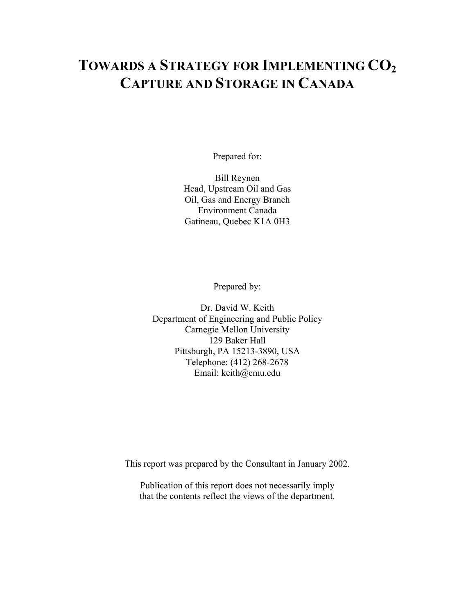# **TOWARDS A STRATEGY FOR IMPLEMENTING CO2 CAPTURE AND STORAGE IN CANADA**

Prepared for:

Bill Reynen Head, Upstream Oil and Gas Oil, Gas and Energy Branch Environment Canada Gatineau, Quebec K1A 0H3

Prepared by:

Dr. David W. Keith Department of Engineering and Public Policy Carnegie Mellon University 129 Baker Hall Pittsburgh, PA 15213-3890, USA Telephone: (412) 268-2678 Email: keith@cmu.edu

This report was prepared by the Consultant in January 2002.

Publication of this report does not necessarily imply that the contents reflect the views of the department.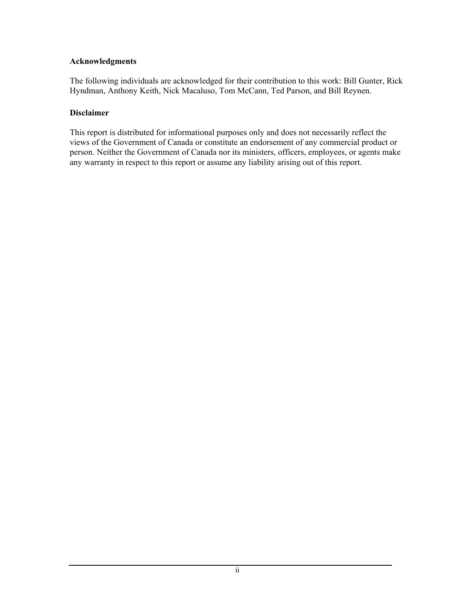#### **Acknowledgments**

The following individuals are acknowledged for their contribution to this work: Bill Gunter, Rick Hyndman, Anthony Keith, Nick Macaluso, Tom McCann, Ted Parson, and Bill Reynen.

#### **Disclaimer**

This report is distributed for informational purposes only and does not necessarily reflect the views of the Government of Canada or constitute an endorsement of any commercial product or person. Neither the Government of Canada nor its ministers, officers, employees, or agents make any warranty in respect to this report or assume any liability arising out of this report.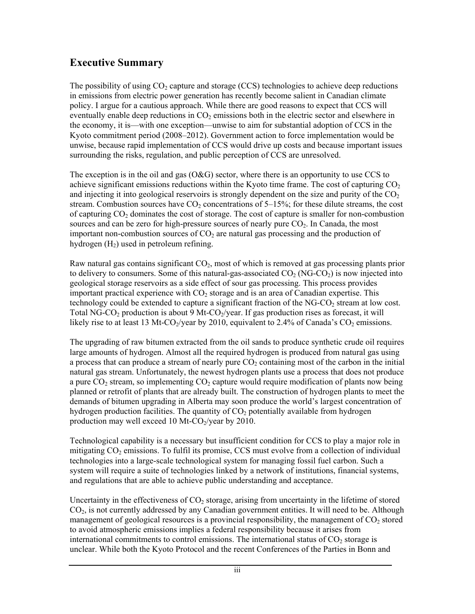# **Executive Summary**

The possibility of using  $CO<sub>2</sub>$  capture and storage (CCS) technologies to achieve deep reductions in emissions from electric power generation has recently become salient in Canadian climate policy. I argue for a cautious approach. While there are good reasons to expect that CCS will eventually enable deep reductions in  $CO<sub>2</sub>$  emissions both in the electric sector and elsewhere in the economy, it is—with one exception—unwise to aim for substantial adoption of CCS in the Kyoto commitment period (2008–2012). Government action to force implementation would be unwise, because rapid implementation of CCS would drive up costs and because important issues surrounding the risks, regulation, and public perception of CCS are unresolved.

The exception is in the oil and gas  $(O&G)$  sector, where there is an opportunity to use CCS to achieve significant emissions reductions within the Kyoto time frame. The cost of capturing  $CO<sub>2</sub>$ and injecting it into geological reservoirs is strongly dependent on the size and purity of the  $CO<sub>2</sub>$ stream. Combustion sources have  $CO<sub>2</sub>$  concentrations of  $5-15\%$ ; for these dilute streams, the cost of capturing  $CO<sub>2</sub>$  dominates the cost of storage. The cost of capture is smaller for non-combustion sources and can be zero for high-pressure sources of nearly pure  $CO<sub>2</sub>$ . In Canada, the most important non-combustion sources of  $CO<sub>2</sub>$  are natural gas processing and the production of hydrogen  $(H<sub>2</sub>)$  used in petroleum refining.

Raw natural gas contains significant  $CO<sub>2</sub>$ , most of which is removed at gas processing plants prior to delivery to consumers. Some of this natural-gas-associated  $CO<sub>2</sub> (NG-CO<sub>2</sub>)$  is now injected into geological storage reservoirs as a side effect of sour gas processing. This process provides important practical experience with  $CO<sub>2</sub>$  storage and is an area of Canadian expertise. This technology could be extended to capture a significant fraction of the  $NG-CO<sub>2</sub>$  stream at low cost. Total NG-CO<sub>2</sub> production is about 9 Mt-CO<sub>2</sub>/year. If gas production rises as forecast, it will likely rise to at least 13 Mt-CO<sub>2</sub>/year by 2010, equivalent to 2.4% of Canada's CO<sub>2</sub> emissions.

The upgrading of raw bitumen extracted from the oil sands to produce synthetic crude oil requires large amounts of hydrogen. Almost all the required hydrogen is produced from natural gas using a process that can produce a stream of nearly pure  $CO<sub>2</sub>$  containing most of the carbon in the initial natural gas stream. Unfortunately, the newest hydrogen plants use a process that does not produce a pure  $CO<sub>2</sub>$  stream, so implementing  $CO<sub>2</sub>$  capture would require modification of plants now being planned or retrofit of plants that are already built. The construction of hydrogen plants to meet the demands of bitumen upgrading in Alberta may soon produce the world's largest concentration of hydrogen production facilities. The quantity of  $CO<sub>2</sub>$  potentially available from hydrogen production may well exceed 10 Mt-CO $_2$ /year by 2010.

Technological capability is a necessary but insufficient condition for CCS to play a major role in mitigating  $CO<sub>2</sub>$  emissions. To fulfil its promise, CCS must evolve from a collection of individual technologies into a large-scale technological system for managing fossil fuel carbon. Such a system will require a suite of technologies linked by a network of institutions, financial systems, and regulations that are able to achieve public understanding and acceptance.

Uncertainty in the effectiveness of  $CO<sub>2</sub>$  storage, arising from uncertainty in the lifetime of stored  $CO<sub>2</sub>$ , is not currently addressed by any Canadian government entities. It will need to be. Although management of geological resources is a provincial responsibility, the management of  $CO<sub>2</sub>$  stored to avoid atmospheric emissions implies a federal responsibility because it arises from international commitments to control emissions. The international status of  $CO<sub>2</sub>$  storage is unclear. While both the Kyoto Protocol and the recent Conferences of the Parties in Bonn and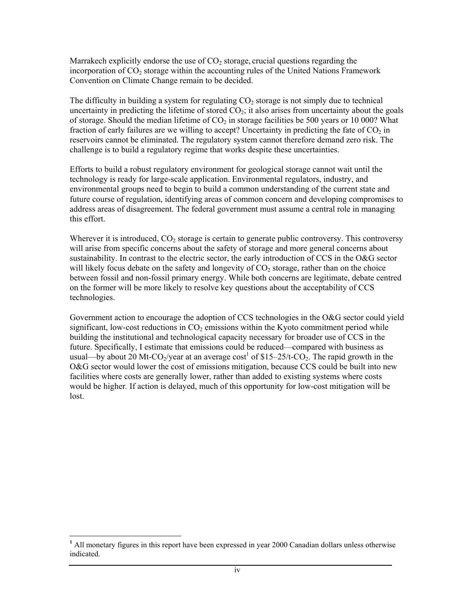Marrakech explicitly endorse the use of  $CO<sub>2</sub>$  storage, crucial questions regarding the incorporation of  $CO<sub>2</sub>$  storage within the accounting rules of the United Nations Framework Convention on Climate Change remain to be decided.

The difficulty in building a system for regulating  $CO<sub>2</sub>$  storage is not simply due to technical uncertainty in predicting the lifetime of stored  $CO<sub>2</sub>$ ; it also arises from uncertainty about the goals of storage. Should the median lifetime of  $CO<sub>2</sub>$  in storage facilities be 500 years or 10 000? What fraction of early failures are we willing to accept? Uncertainty in predicting the fate of  $CO<sub>2</sub>$  in reservoirs cannot be eliminated. The regulatory system cannot therefore demand zero risk. The challenge is to build a regulatory regime that works despite these uncertainties.

Efforts to build a robust regulatory environment for geological storage cannot wait until the technology is ready for large-scale application. Environmental regulators, industry, and environmental groups need to begin to build a common understanding of the current state and future course of regulation, identifying areas of common concern and developing compromises to address areas of disagreement. The federal government must assume a central role in managing this effort.

Wherever it is introduced,  $CO<sub>2</sub>$  storage is certain to generate public controversy. This controversy will arise from specific concerns about the safety of storage and more general concerns about sustainability. In contrast to the electric sector, the early introduction of CCS in the O&G sector will likely focus debate on the safety and longevity of  $CO<sub>2</sub>$  storage, rather than on the choice between fossil and non-fossil primary energy. While both concerns are legitimate, debate centred on the former will be more likely to resolve key questions about the acceptability of CCS technologies.

Government action to encourage the adoption of CCS technologies in the O&G sector could yield significant, low-cost reductions in  $CO<sub>2</sub>$  emissions within the Kyoto commitment period while building the institutional and technological capacity necessary for broader use of CCS in the future. Specifically, I estimate that emissions could be reduced—compared with business as usual—by about 20 Mt-CO<sub>2</sub>/year at an average  $cost^1$  of \$15–25/t-CO<sub>2</sub>. The rapid growth in the O&G sector would lower the cost of emissions mitigation, because CCS could be built into new facilities where costs are generally lower, rather than added to existing systems where costs would be higher*.* If action is delayed, much of this opportunity for low-cost mitigation will be lost.

-

<sup>&</sup>lt;sup>1</sup> All monetary figures in this report have been expressed in year 2000 Canadian dollars unless otherwise indicated.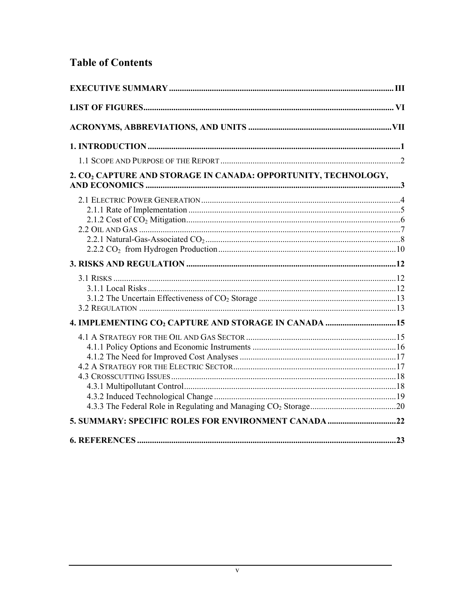# **Table of Contents**

| 2. CO <sub>2</sub> CAPTURE AND STORAGE IN CANADA: OPPORTUNITY, TECHNOLOGY, |    |  |
|----------------------------------------------------------------------------|----|--|
|                                                                            |    |  |
|                                                                            |    |  |
|                                                                            |    |  |
|                                                                            |    |  |
| 5. SUMMARY: SPECIFIC ROLES FOR ENVIRONMENT CANADA 22                       |    |  |
|                                                                            |    |  |
| <b>6. REFERENCES.</b>                                                      | 23 |  |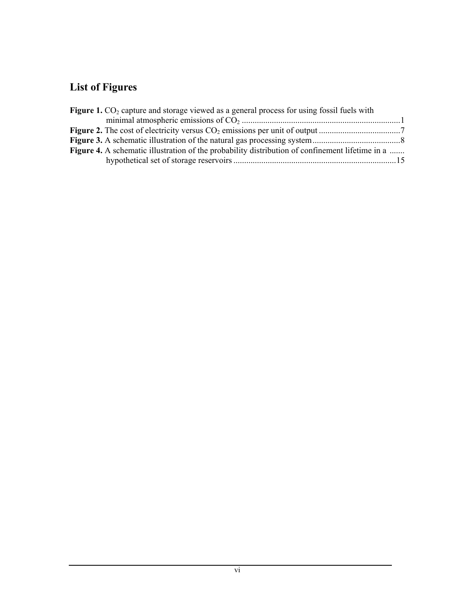# **List of Figures**

| <b>Figure 1.</b> $CO2$ capture and storage viewed as a general process for using fossil fuels with     |  |
|--------------------------------------------------------------------------------------------------------|--|
|                                                                                                        |  |
|                                                                                                        |  |
|                                                                                                        |  |
| <b>Figure 4.</b> A schematic illustration of the probability distribution of confinement lifetime in a |  |
|                                                                                                        |  |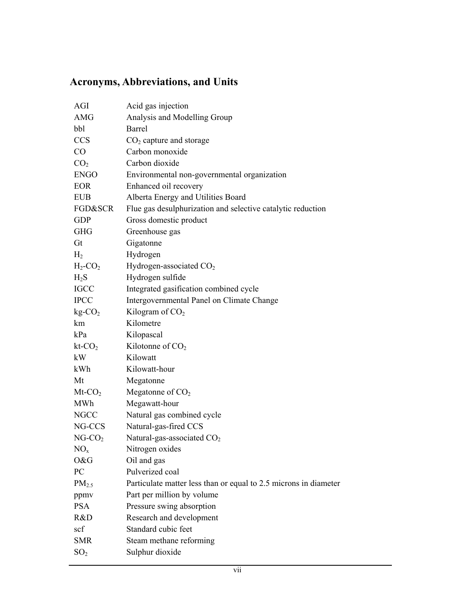# **Acronyms, Abbreviations, and Units**

| AGI                    | Acid gas injection                                               |
|------------------------|------------------------------------------------------------------|
| AMG                    | Analysis and Modelling Group                                     |
| bbl                    | <b>Barrel</b>                                                    |
| <b>CCS</b>             | $CO2$ capture and storage                                        |
| CO                     | Carbon monoxide                                                  |
| CO <sub>2</sub>        | Carbon dioxide                                                   |
| <b>ENGO</b>            | Environmental non-governmental organization                      |
| EOR                    | Enhanced oil recovery                                            |
| <b>EUB</b>             | Alberta Energy and Utilities Board                               |
| FGD&SCR                | Flue gas desulphurization and selective catalytic reduction      |
| <b>GDP</b>             | Gross domestic product                                           |
| <b>GHG</b>             | Greenhouse gas                                                   |
| Gt                     | Gigatonne                                                        |
| H <sub>2</sub>         | Hydrogen                                                         |
| $H_2$ -CO <sub>2</sub> | Hydrogen-associated CO <sub>2</sub>                              |
| $H_2S$                 | Hydrogen sulfide                                                 |
| <b>IGCC</b>            | Integrated gasification combined cycle                           |
| <b>IPCC</b>            | Intergovernmental Panel on Climate Change                        |
| $kg-CO2$               | Kilogram of $CO2$                                                |
| km                     | Kilometre                                                        |
| kPa                    | Kilopascal                                                       |
| $kt$ - $CO2$           | Kilotonne of $CO2$                                               |
| kW                     | Kilowatt                                                         |
| kWh                    | Kilowatt-hour                                                    |
| Mt                     | Megatonne                                                        |
| $Mt$ - $CO2$           | Megatonne of CO <sub>2</sub>                                     |
| MWh                    | Megawatt-hour                                                    |
| <b>NGCC</b>            | Natural gas combined cycle                                       |
| NG-CCS                 | Natural-gas-fired CCS                                            |
| $NG-CO2$               | Natural-gas-associated CO <sub>2</sub>                           |
| NO <sub>x</sub>        | Nitrogen oxides                                                  |
| O&G                    | Oil and gas                                                      |
| PC                     | Pulverized coal                                                  |
| $PM_{2.5}$             | Particulate matter less than or equal to 2.5 microns in diameter |
| ppmv                   | Part per million by volume                                       |
| <b>PSA</b>             | Pressure swing absorption                                        |
| R&D                    | Research and development                                         |
| scf                    | Standard cubic feet                                              |
| <b>SMR</b>             | Steam methane reforming                                          |
| SO <sub>2</sub>        | Sulphur dioxide                                                  |
|                        |                                                                  |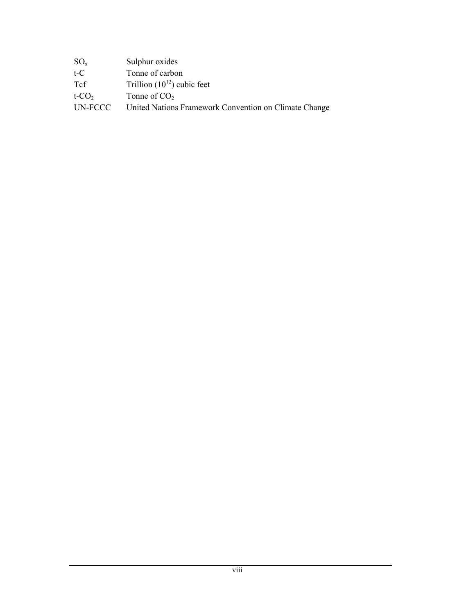| $SO_{x}$             | Sulphur oxides                                        |
|----------------------|-------------------------------------------------------|
| $t-C$                | Tonne of carbon                                       |
| <b>T</b> cf          | Trillion $(10^{12})$ cubic feet                       |
| $t$ -CO <sub>2</sub> | Tonne of $CO2$                                        |
| UN-FCCC              | United Nations Framework Convention on Climate Change |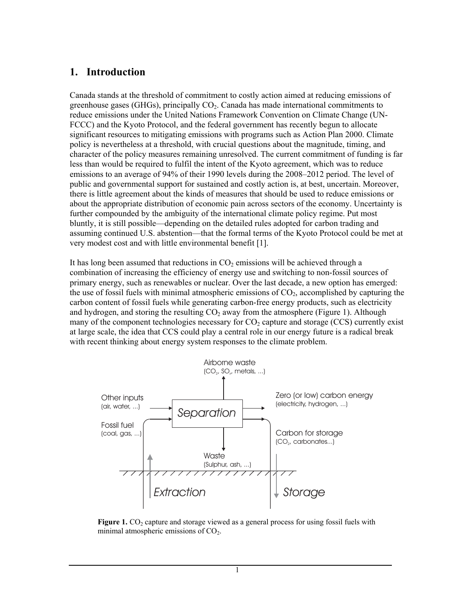#### **1. Introduction**

Canada stands at the threshold of commitment to costly action aimed at reducing emissions of greenhouse gases (GHGs), principally  $CO<sub>2</sub>$ . Canada has made international commitments to reduce emissions under the United Nations Framework Convention on Climate Change (UN-FCCC) and the Kyoto Protocol, and the federal government has recently begun to allocate significant resources to mitigating emissions with programs such as Action Plan 2000. Climate policy is nevertheless at a threshold, with crucial questions about the magnitude, timing, and character of the policy measures remaining unresolved. The current commitment of funding is far less than would be required to fulfil the intent of the Kyoto agreement, which was to reduce emissions to an average of 94% of their 1990 levels during the 2008–2012 period. The level of public and governmental support for sustained and costly action is, at best, uncertain. Moreover, there is little agreement about the kinds of measures that should be used to reduce emissions or about the appropriate distribution of economic pain across sectors of the economy. Uncertainty is further compounded by the ambiguity of the international climate policy regime. Put most bluntly, it is still possible—depending on the detailed rules adopted for carbon trading and assuming continued U.S. abstention—that the formal terms of the Kyoto Protocol could be met at very modest cost and with little environmental benefit [1].

It has long been assumed that reductions in  $CO<sub>2</sub>$  emissions will be achieved through a combination of increasing the efficiency of energy use and switching to non-fossil sources of primary energy, such as renewables or nuclear. Over the last decade, a new option has emerged: the use of fossil fuels with minimal atmospheric emissions of  $CO<sub>2</sub>$ , accomplished by capturing the carbon content of fossil fuels while generating carbon-free energy products, such as electricity and hydrogen, and storing the resulting  $CO<sub>2</sub>$  away from the atmosphere (Figure 1). Although many of the component technologies necessary for  $CO<sub>2</sub>$  capture and storage (CCS) currently exist at large scale, the idea that CCS could play a central role in our energy future is a radical break with recent thinking about energy system responses to the climate problem.



**Figure 1.** CO<sub>2</sub> capture and storage viewed as a general process for using fossil fuels with minimal atmospheric emissions of  $CO<sub>2</sub>$ .

1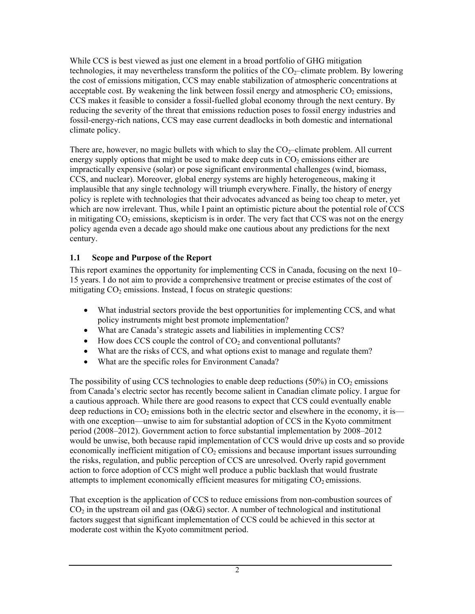While CCS is best viewed as just one element in a broad portfolio of GHG mitigation technologies, it may nevertheless transform the politics of the  $CO<sub>2</sub>$ -climate problem. By lowering the cost of emissions mitigation, CCS may enable stabilization of atmospheric concentrations at acceptable cost. By weakening the link between fossil energy and atmospheric  $CO<sub>2</sub>$  emissions, CCS makes it feasible to consider a fossil-fuelled global economy through the next century. By reducing the severity of the threat that emissions reduction poses to fossil energy industries and fossil-energy-rich nations, CCS may ease current deadlocks in both domestic and international climate policy.

There are, however, no magic bullets with which to slay the  $CO<sub>2</sub>$ -climate problem. All current energy supply options that might be used to make deep cuts in  $CO<sub>2</sub>$  emissions either are impractically expensive (solar) or pose significant environmental challenges (wind, biomass, CCS, and nuclear). Moreover, global energy systems are highly heterogeneous, making it implausible that any single technology will triumph everywhere. Finally, the history of energy policy is replete with technologies that their advocates advanced as being too cheap to meter, yet which are now irrelevant. Thus, while I paint an optimistic picture about the potential role of CCS in mitigating  $CO<sub>2</sub>$  emissions, skepticism is in order. The very fact that CCS was not on the energy policy agenda even a decade ago should make one cautious about any predictions for the next century.

#### **1.1 Scope and Purpose of the Report**

This report examines the opportunity for implementing CCS in Canada, focusing on the next 10– 15 years. I do not aim to provide a comprehensive treatment or precise estimates of the cost of mitigating  $CO<sub>2</sub>$  emissions. Instead, I focus on strategic questions:

- What industrial sectors provide the best opportunities for implementing CCS, and what policy instruments might best promote implementation?
- What are Canada's strategic assets and liabilities in implementing CCS?
- How does CCS couple the control of  $CO<sub>2</sub>$  and conventional pollutants?
- What are the risks of CCS, and what options exist to manage and regulate them?
- What are the specific roles for Environment Canada?

The possibility of using CCS technologies to enable deep reductions  $(50\%)$  in CO<sub>2</sub> emissions from Canada's electric sector has recently become salient in Canadian climate policy. I argue for a cautious approach. While there are good reasons to expect that CCS could eventually enable deep reductions in  $CO_2$  emissions both in the electric sector and elsewhere in the economy, it is with one exception—unwise to aim for substantial adoption of CCS in the Kyoto commitment period (2008–2012). Government action to force substantial implementation by 2008–2012 would be unwise, both because rapid implementation of CCS would drive up costs and so provide economically inefficient mitigation of  $CO<sub>2</sub>$  emissions and because important issues surrounding the risks, regulation, and public perception of CCS are unresolved. Overly rapid government action to force adoption of CCS might well produce a public backlash that would frustrate attempts to implement economically efficient measures for mitigating  $CO<sub>2</sub>$  emissions.

That exception is the application of CCS to reduce emissions from non-combustion sources of  $CO<sub>2</sub>$  in the upstream oil and gas (O&G) sector. A number of technological and institutional factors suggest that significant implementation of CCS could be achieved in this sector at moderate cost within the Kyoto commitment period.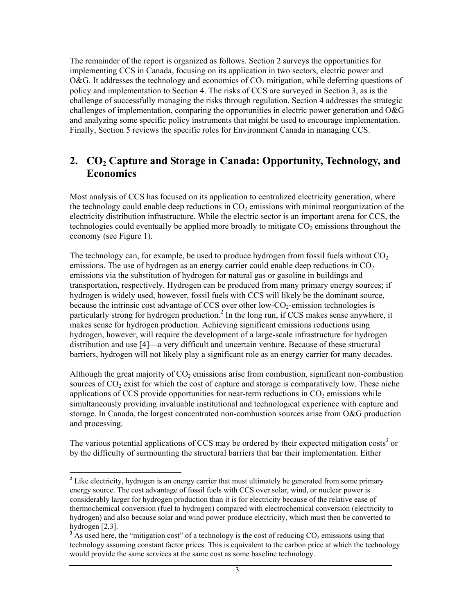The remainder of the report is organized as follows. Section 2 surveys the opportunities for implementing CCS in Canada, focusing on its application in two sectors, electric power and O&G. It addresses the technology and economics of  $CO<sub>2</sub>$  mitigation, while deferring questions of policy and implementation to Section 4. The risks of CCS are surveyed in Section 3, as is the challenge of successfully managing the risks through regulation. Section 4 addresses the strategic challenges of implementation, comparing the opportunities in electric power generation and O&G and analyzing some specific policy instruments that might be used to encourage implementation. Finally, Section 5 reviews the specific roles for Environment Canada in managing CCS.

#### 2. CO<sub>2</sub> Capture and Storage in Canada: Opportunity, Technology, and **Economics**

Most analysis of CCS has focused on its application to centralized electricity generation, where the technology could enable deep reductions in  $CO<sub>2</sub>$  emissions with minimal reorganization of the electricity distribution infrastructure. While the electric sector is an important arena for CCS, the technologies could eventually be applied more broadly to mitigate  $CO<sub>2</sub>$  emissions throughout the economy (see Figure 1).

The technology can, for example, be used to produce hydrogen from fossil fuels without  $CO<sub>2</sub>$ emissions. The use of hydrogen as an energy carrier could enable deep reductions in  $CO<sub>2</sub>$ emissions via the substitution of hydrogen for natural gas or gasoline in buildings and transportation, respectively. Hydrogen can be produced from many primary energy sources; if hydrogen is widely used, however, fossil fuels with CCS will likely be the dominant source, because the intrinsic cost advantage of CCS over other low-CO<sub>2</sub>-emission technologies is particularly strong for hydrogen production.<sup>2</sup> In the long run, if CCS makes sense anywhere, it makes sense for hydrogen production. Achieving significant emissions reductions using hydrogen, however, will require the development of a large-scale infrastructure for hydrogen distribution and use [4]—a very difficult and uncertain venture. Because of these structural barriers, hydrogen will not likely play a significant role as an energy carrier for many decades.

Although the great majority of  $CO<sub>2</sub>$  emissions arise from combustion, significant non-combustion sources of  $CO<sub>2</sub>$  exist for which the cost of capture and storage is comparatively low. These niche applications of CCS provide opportunities for near-term reductions in  $CO<sub>2</sub>$  emissions while simultaneously providing invaluable institutional and technological experience with capture and storage. In Canada, the largest concentrated non-combustion sources arise from O&G production and processing.

The various potential applications of CCS may be ordered by their expected mitigation costs<sup>3</sup> or by the difficulty of surmounting the structural barriers that bar their implementation. Either

l

<sup>&</sup>lt;sup>2</sup> Like electricity, hydrogen is an energy carrier that must ultimately be generated from some primary energy source. The cost advantage of fossil fuels with CCS over solar, wind, or nuclear power is considerably larger for hydrogen production than it is for electricity because of the relative ease of thermochemical conversion (fuel to hydrogen) compared with electrochemical conversion (electricity to hydrogen) and also because solar and wind power produce electricity, which must then be converted to hydrogen [2,3].

 $3$  As used here, the "mitigation cost" of a technology is the cost of reducing  $CO<sub>2</sub>$  emissions using that technology assuming constant factor prices. This is equivalent to the carbon price at which the technology would provide the same services at the same cost as some baseline technology.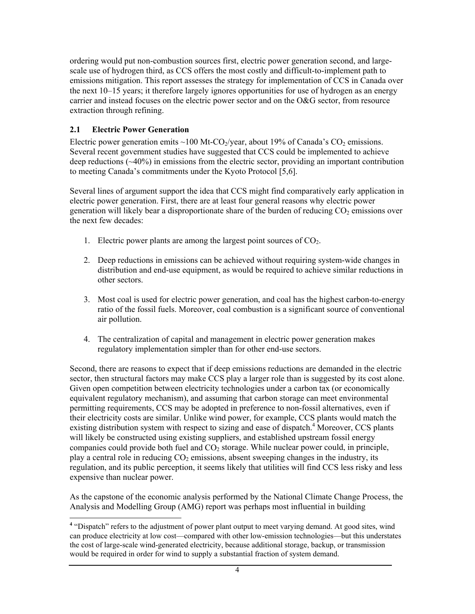ordering would put non-combustion sources first, electric power generation second, and largescale use of hydrogen third, as CCS offers the most costly and difficult-to-implement path to emissions mitigation. This report assesses the strategy for implementation of CCS in Canada over the next 10–15 years; it therefore largely ignores opportunities for use of hydrogen as an energy carrier and instead focuses on the electric power sector and on the O&G sector, from resource extraction through refining.

#### **2.1 Electric Power Generation**

Electric power generation emits ~100 Mt-CO<sub>2</sub>/year, about 19% of Canada's CO<sub>2</sub> emissions. Several recent government studies have suggested that CCS could be implemented to achieve deep reductions (~40%) in emissions from the electric sector, providing an important contribution to meeting Canada's commitments under the Kyoto Protocol [5,6].

Several lines of argument support the idea that CCS might find comparatively early application in electric power generation. First, there are at least four general reasons why electric power generation will likely bear a disproportionate share of the burden of reducing CO<sub>2</sub> emissions over the next few decades:

- 1. Electric power plants are among the largest point sources of  $CO<sub>2</sub>$ .
- 2. Deep reductions in emissions can be achieved without requiring system-wide changes in distribution and end-use equipment, as would be required to achieve similar reductions in other sectors.
- 3. Most coal is used for electric power generation, and coal has the highest carbon-to-energy ratio of the fossil fuels. Moreover, coal combustion is a significant source of conventional air pollution.
- 4. The centralization of capital and management in electric power generation makes regulatory implementation simpler than for other end-use sectors.

Second, there are reasons to expect that if deep emissions reductions are demanded in the electric sector, then structural factors may make CCS play a larger role than is suggested by its cost alone. Given open competition between electricity technologies under a carbon tax (or economically equivalent regulatory mechanism), and assuming that carbon storage can meet environmental permitting requirements, CCS may be adopted in preference to non-fossil alternatives, even if their electricity costs are similar. Unlike wind power, for example, CCS plants would match the existing distribution system with respect to sizing and ease of dispatch.<sup>4</sup> Moreover, CCS plants will likely be constructed using existing suppliers, and established upstream fossil energy companies could provide both fuel and  $CO<sub>2</sub>$  storage. While nuclear power could, in principle, play a central role in reducing  $CO<sub>2</sub>$  emissions, absent sweeping changes in the industry, its regulation, and its public perception, it seems likely that utilities will find CCS less risky and less expensive than nuclear power.

As the capstone of the economic analysis performed by the National Climate Change Process, the Analysis and Modelling Group (AMG) report was perhaps most influential in building

<sup>1</sup> <sup>4</sup> "Dispatch" refers to the adjustment of power plant output to meet varying demand. At good sites, wind can produce electricity at low cost—compared with other low-emission technologies—but this understates the cost of large-scale wind-generated electricity, because additional storage, backup, or transmission would be required in order for wind to supply a substantial fraction of system demand.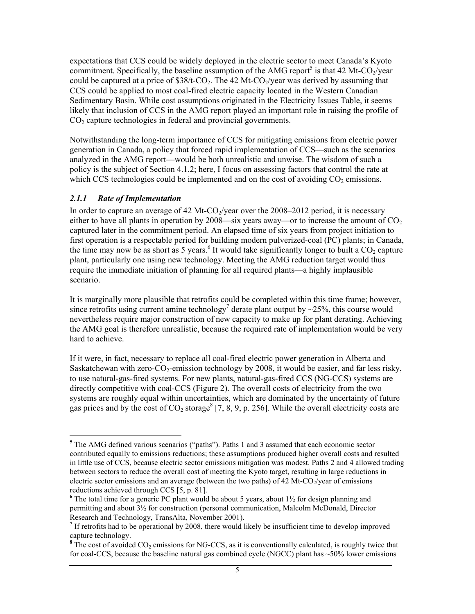expectations that CCS could be widely deployed in the electric sector to meet Canada's Kyoto commitment. Specifically, the baseline assumption of the AMG report<sup>5</sup> is that 42 Mt-CO<sub>2</sub>/year could be captured at a price of  $$38/t$ -CO<sub>2</sub>. The 42 Mt-CO<sub>2</sub>/year was derived by assuming that CCS could be applied to most coal-fired electric capacity located in the Western Canadian Sedimentary Basin. While cost assumptions originated in the Electricity Issues Table, it seems likely that inclusion of CCS in the AMG report played an important role in raising the profile of CO<sub>2</sub> capture technologies in federal and provincial governments.

Notwithstanding the long-term importance of CCS for mitigating emissions from electric power generation in Canada, a policy that forced rapid implementation of CCS—such as the scenarios analyzed in the AMG report—would be both unrealistic and unwise. The wisdom of such a policy is the subject of Section 4.1.2; here, I focus on assessing factors that control the rate at which CCS technologies could be implemented and on the cost of avoiding  $CO<sub>2</sub>$  emissions.

#### *2.1.1 Rate of Implementation*

In order to capture an average of 42 Mt-CO $_2$ /year over the 2008–2012 period, it is necessary either to have all plants in operation by 2008—six years away—or to increase the amount of  $CO<sub>2</sub>$ captured later in the commitment period. An elapsed time of six years from project initiation to first operation is a respectable period for building modern pulverized-coal (PC) plants; in Canada, the time may now be as short as 5 years.<sup>6</sup> It would take significantly longer to built a  $CO<sub>2</sub>$  capture plant, particularly one using new technology. Meeting the AMG reduction target would thus require the immediate initiation of planning for all required plants—a highly implausible scenario.

It is marginally more plausible that retrofits could be completed within this time frame; however, since retrofits using current amine technology<sup>7</sup> derate plant output by  $\sim$ 25%, this course would nevertheless require major construction of new capacity to make up for plant derating. Achieving the AMG goal is therefore unrealistic, because the required rate of implementation would be very hard to achieve.

If it were, in fact, necessary to replace all coal-fired electric power generation in Alberta and Saskatchewan with zero- $CO_2$ -emission technology by 2008, it would be easier, and far less risky, to use natural-gas-fired systems. For new plants, natural-gas-fired CCS (NG-CCS) systems are directly competitive with coal-CCS (Figure 2). The overall costs of electricity from the two systems are roughly equal within uncertainties, which are dominated by the uncertainty of future gas prices and by the cost of  $CO_2$  storage<sup>8</sup> [7, 8, 9, p. 256]. While the overall electricity costs are

<sup>&</sup>lt;sup>5</sup> The AMG defined various scenarios ("paths"). Paths 1 and 3 assumed that each economic sector contributed equally to emissions reductions; these assumptions produced higher overall costs and resulted in little use of CCS, because electric sector emissions mitigation was modest. Paths 2 and 4 allowed trading between sectors to reduce the overall cost of meeting the Kyoto target, resulting in large reductions in electric sector emissions and an average (between the two paths) of 42 Mt-CO $\gamma$ /year of emissions reductions achieved through CCS [5, p. 81].

 $6$  The total time for a generic PC plant would be about 5 years, about  $1\frac{1}{2}$  for design planning and permitting and about 3½ for construction (personal communication, Malcolm McDonald, Director Research and Technology, TransAlta, November 2001).

<sup>&</sup>lt;sup>7</sup> If retrofits had to be operational by 2008, there would likely be insufficient time to develop improved

capture technology.<br><sup>8</sup> The cost of avoided CO<sub>2</sub> emissions for NG-CCS, as it is conventionally calculated, is roughly twice that for coal-CCS, because the baseline natural gas combined cycle (NGCC) plant has ~50% lower emissions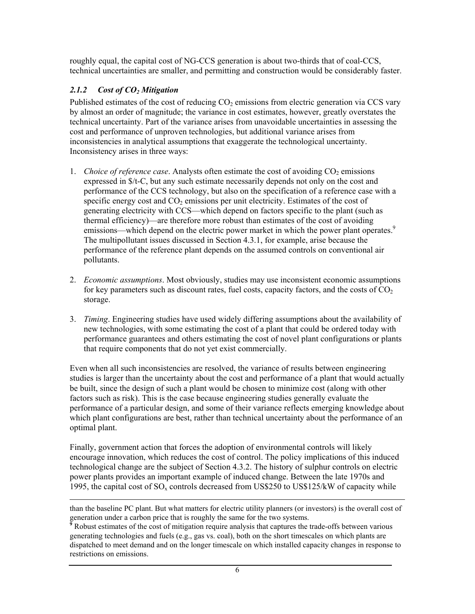roughly equal, the capital cost of NG-CCS generation is about two-thirds that of coal-CCS, technical uncertainties are smaller, and permitting and construction would be considerably faster.

#### *2.1.2 Cost of CO2 Mitigation*

Published estimates of the cost of reducing  $CO<sub>2</sub>$  emissions from electric generation via CCS vary by almost an order of magnitude; the variance in cost estimates, however, greatly overstates the technical uncertainty. Part of the variance arises from unavoidable uncertainties in assessing the cost and performance of unproven technologies, but additional variance arises from inconsistencies in analytical assumptions that exaggerate the technological uncertainty. Inconsistency arises in three ways:

- 1. *Choice of reference case.* Analysts often estimate the cost of avoiding  $CO<sub>2</sub>$  emissions expressed in \$/t-C, but any such estimate necessarily depends not only on the cost and performance of the CCS technology, but also on the specification of a reference case with a specific energy cost and  $CO<sub>2</sub>$  emissions per unit electricity. Estimates of the cost of generating electricity with CCS—which depend on factors specific to the plant (such as thermal efficiency)—are therefore more robust than estimates of the cost of avoiding emissions—which depend on the electric power market in which the power plant operates.<sup>9</sup> The multipollutant issues discussed in Section 4.3.1, for example, arise because the performance of the reference plant depends on the assumed controls on conventional air pollutants.
- 2. *Economic assumptions*. Most obviously, studies may use inconsistent economic assumptions for key parameters such as discount rates, fuel costs, capacity factors, and the costs of  $CO<sub>2</sub>$ storage.
- 3. *Timing*. Engineering studies have used widely differing assumptions about the availability of new technologies, with some estimating the cost of a plant that could be ordered today with performance guarantees and others estimating the cost of novel plant configurations or plants that require components that do not yet exist commercially.

Even when all such inconsistencies are resolved, the variance of results between engineering studies is larger than the uncertainty about the cost and performance of a plant that would actually be built, since the design of such a plant would be chosen to minimize cost (along with other factors such as risk). This is the case because engineering studies generally evaluate the performance of a particular design, and some of their variance reflects emerging knowledge about which plant configurations are best, rather than technical uncertainty about the performance of an optimal plant.

Finally, government action that forces the adoption of environmental controls will likely encourage innovation, which reduces the cost of control. The policy implications of this induced technological change are the subject of Section 4.3.2. The history of sulphur controls on electric power plants provides an important example of induced change. Between the late 1970s and 1995, the capital cost of  $SO_x$  controls decreased from US\$250 to US\$125/kW of capacity while

l than the baseline PC plant. But what matters for electric utility planners (or investors) is the overall cost of

generation under a carbon price that is roughly the same for the two systems.<br><sup>9</sup> Robust estimates of the cost of mitigation require analysis that captures the trade-offs between various generating technologies and fuels (e.g., gas vs. coal), both on the short timescales on which plants are dispatched to meet demand and on the longer timescale on which installed capacity changes in response to restrictions on emissions.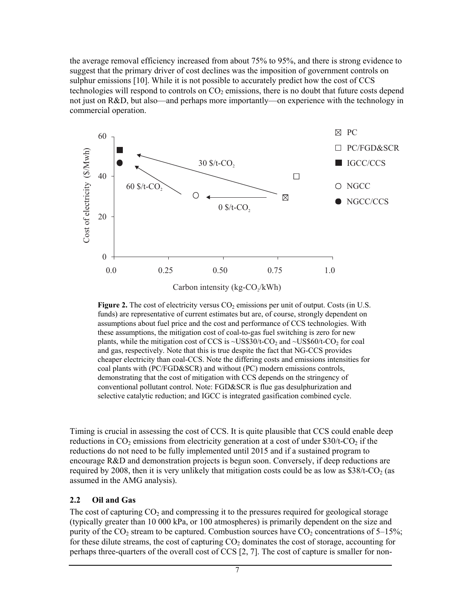the average removal efficiency increased from about 75% to 95%, and there is strong evidence to suggest that the primary driver of cost declines was the imposition of government controls on sulphur emissions [10]. While it is not possible to accurately predict how the cost of CCS technologies will respond to controls on  $CO<sub>2</sub>$  emissions, there is no doubt that future costs depend not just on R&D, but also—and perhaps more importantly—on experience with the technology in commercial operation.



Carbon intensity ( $kg$ -CO $/kWh$ )

**Figure 2.** The cost of electricity versus CO<sub>2</sub> emissions per unit of output. Costs (in U.S. funds) are representative of current estimates but are, of course, strongly dependent on assumptions about fuel price and the cost and performance of CCS technologies. With these assumptions, the mitigation cost of coal-to-gas fuel switching is zero for new plants, while the mitigation cost of CCS is  $\sim$ US\$30/t-CO<sub>2</sub> and  $\sim$ US\$60/t-CO<sub>2</sub> for coal and gas, respectively. Note that this is true despite the fact that NG-CCS provides cheaper electricity than coal-CCS. Note the differing costs and emissions intensities for coal plants with (PC/FGD&SCR) and without (PC) modern emissions controls, demonstrating that the cost of mitigation with CCS depends on the stringency of conventional pollutant control. Note: FGD&SCR is flue gas desulphurization and selective catalytic reduction; and IGCC is integrated gasification combined cycle.

Timing is crucial in assessing the cost of CCS. It is quite plausible that CCS could enable deep reductions in  $CO_2$  emissions from electricity generation at a cost of under \$30/t- $CO_2$  if the reductions do not need to be fully implemented until 2015 and if a sustained program to encourage R&D and demonstration projects is begun soon. Conversely, if deep reductions are required by 2008, then it is very unlikely that mitigation costs could be as low as  $$38/t$ -CO<sub>2</sub> (as assumed in the AMG analysis).

#### **2.2 Oil and Gas**

The cost of capturing  $CO<sub>2</sub>$  and compressing it to the pressures required for geological storage (typically greater than 10 000 kPa, or 100 atmospheres) is primarily dependent on the size and purity of the  $CO_2$  stream to be captured. Combustion sources have  $CO_2$  concentrations of 5–15%; for these dilute streams, the cost of capturing  $CO<sub>2</sub>$  dominates the cost of storage, accounting for perhaps three-quarters of the overall cost of CCS [2, 7]. The cost of capture is smaller for non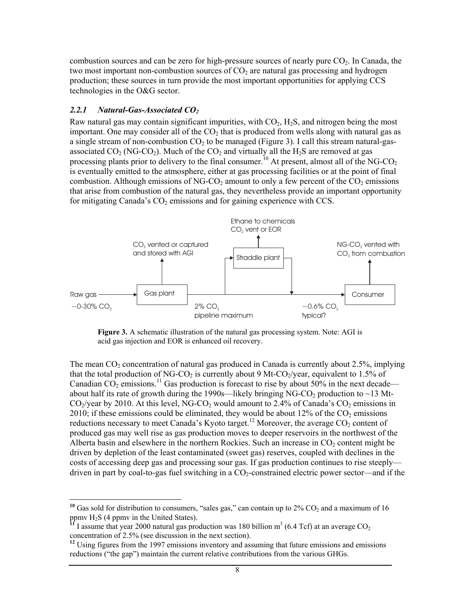combustion sources and can be zero for high-pressure sources of nearly pure  $CO<sub>2</sub>$ . In Canada, the two most important non-combustion sources of  $CO<sub>2</sub>$  are natural gas processing and hydrogen production; these sources in turn provide the most important opportunities for applying CCS technologies in the O&G sector.

#### *2.2.1 Natural-Gas-Associated CO2*

l

Raw natural gas may contain significant impurities, with  $CO<sub>2</sub>$ , H<sub>2</sub>S, and nitrogen being the most important. One may consider all of the  $CO<sub>2</sub>$  that is produced from wells along with natural gas as a single stream of non-combustion  $CO<sub>2</sub>$  to be managed (Figure 3). I call this stream natural-gasassociated  $CO_2$  (NG-CO<sub>2</sub>). Much of the  $CO_2$  and virtually all the H<sub>2</sub>S are removed at gas processing plants prior to delivery to the final consumer.<sup>10</sup> At present, almost all of the NG-CO<sub>2</sub> is eventually emitted to the atmosphere, either at gas processing facilities or at the point of final combustion. Although emissions of NG-CO<sub>2</sub> amount to only a few percent of the  $CO_2$  emissions that arise from combustion of the natural gas, they nevertheless provide an important opportunity for mitigating Canada's  $CO<sub>2</sub>$  emissions and for gaining experience with CCS.



**Figure 3.** A schematic illustration of the natural gas processing system. Note: AGI is acid gas injection and EOR is enhanced oil recovery.

The mean  $CO<sub>2</sub>$  concentration of natural gas produced in Canada is currently about 2.5%, implying that the total production of NG-CO<sub>2</sub> is currently about 9 Mt-CO<sub>2</sub>/year, equivalent to 1.5% of Canadian  $CO_2$  emissions.<sup>11</sup> Gas production is forecast to rise by about 50% in the next decade about half its rate of growth during the 1990s—likely bringing NG-CO<sub>2</sub> production to  $\sim$ 13 Mt- $CO<sub>2</sub>/year$  by 2010. At this level, NG-CO<sub>2</sub> would amount to 2.4% of Canada's  $CO<sub>2</sub>$  emissions in 2010; if these emissions could be eliminated, they would be about 12% of the  $CO<sub>2</sub>$  emissions reductions necessary to meet Canada's Kyoto target.<sup>12</sup> Moreover, the average CO<sub>2</sub> content of produced gas may well rise as gas production moves to deeper reservoirs in the northwest of the Alberta basin and elsewhere in the northern Rockies. Such an increase in  $CO<sub>2</sub>$  content might be driven by depletion of the least contaminated (sweet gas) reserves, coupled with declines in the costs of accessing deep gas and processing sour gas. If gas production continues to rise steeply driven in part by coal-to-gas fuel switching in a CO2-constrained electric power sector—and if the

<sup>&</sup>lt;sup>10</sup> Gas sold for distribution to consumers, "sales gas," can contain up to  $2\%$  CO<sub>2</sub> and a maximum of 16 ppmv H<sub>2</sub>S (4 ppmv in the United States).

ppmv H<sub>2</sub>S (4 ppmv in the United States).<br><sup>11</sup> I assume that year 2000 natural gas production was 180 billion m<sup>3</sup> (6.4 Tcf) at an average CO<sub>2</sub> concentration of 2.5% (see discussion in the next section).

**<sup>12</sup>** Using figures from the 1997 emissions inventory and assuming that future emissions and emissions reductions ("the gap") maintain the current relative contributions from the various GHGs.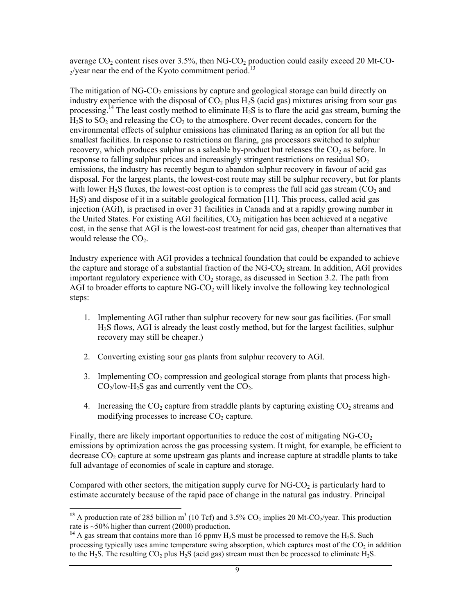average  $CO_2$  content rises over 3.5%, then NG-CO<sub>2</sub> production could easily exceed 20 Mt-CO- $\gamma$ /year near the end of the Kyoto commitment period.<sup>13</sup>

The mitigation of  $NG-CO<sub>2</sub>$  emissions by capture and geological storage can build directly on industry experience with the disposal of  $CO<sub>2</sub>$  plus H<sub>2</sub>S (acid gas) mixtures arising from sour gas processing.<sup>14</sup> The least costly method to eliminate  $H_2S$  is to flare the acid gas stream, burning the  $H<sub>2</sub>S$  to SO<sub>2</sub> and releasing the CO<sub>2</sub> to the atmosphere. Over recent decades, concern for the environmental effects of sulphur emissions has eliminated flaring as an option for all but the smallest facilities. In response to restrictions on flaring, gas processors switched to sulphur recovery, which produces sulphur as a saleable by-product but releases the  $CO<sub>2</sub>$  as before. In response to falling sulphur prices and increasingly stringent restrictions on residual  $SO<sub>2</sub>$ emissions, the industry has recently begun to abandon sulphur recovery in favour of acid gas disposal. For the largest plants, the lowest-cost route may still be sulphur recovery, but for plants with lower H<sub>2</sub>S fluxes, the lowest-cost option is to compress the full acid gas stream ( $CO<sub>2</sub>$  and H2S) and dispose of it in a suitable geological formation [11]. This process, called acid gas injection (AGI), is practised in over 31 facilities in Canada and at a rapidly growing number in the United States. For existing AGI facilities,  $CO<sub>2</sub>$  mitigation has been achieved at a negative cost, in the sense that AGI is the lowest-cost treatment for acid gas, cheaper than alternatives that would release the  $CO<sub>2</sub>$ .

Industry experience with AGI provides a technical foundation that could be expanded to achieve the capture and storage of a substantial fraction of the  $NGCO<sub>2</sub>$  stream. In addition, AGI provides important regulatory experience with  $CO<sub>2</sub>$  storage, as discussed in Section 3.2. The path from AGI to broader efforts to capture  $NG-CO<sub>2</sub>$  will likely involve the following key technological steps:

- 1. Implementing AGI rather than sulphur recovery for new sour gas facilities. (For small H2S flows, AGI is already the least costly method, but for the largest facilities, sulphur recovery may still be cheaper.)
- 2. Converting existing sour gas plants from sulphur recovery to AGI.
- 3. Implementing  $CO<sub>2</sub>$  compression and geological storage from plants that process high- $CO<sub>2</sub>/low-H<sub>2</sub>S$  gas and currently vent the  $CO<sub>2</sub>$ .
- 4. Increasing the CO<sub>2</sub> capture from straddle plants by capturing existing  $CO<sub>2</sub>$  streams and modifying processes to increase  $CO<sub>2</sub>$  capture.

Finally, there are likely important opportunities to reduce the cost of mitigating  $NG-CO<sub>2</sub>$ emissions by optimization across the gas processing system. It might, for example, be efficient to decrease  $CO<sub>2</sub>$  capture at some upstream gas plants and increase capture at straddle plants to take full advantage of economies of scale in capture and storage.

Compared with other sectors, the mitigation supply curve for  $NG-CO<sub>2</sub>$  is particularly hard to estimate accurately because of the rapid pace of change in the natural gas industry. Principal

 $\overline{a}$ 

<sup>&</sup>lt;sup>13</sup> A production rate of 285 billion  $m^3$  (10 Tcf) and 3.5% CO<sub>2</sub> implies 20 Mt-CO<sub>2</sub>/year. This production rate is ~50% higher than current (2000) production.

<sup>&</sup>lt;sup>14</sup> A gas stream that contains more than  $16$  ppmv  $H<sub>2</sub>S$  must be processed to remove the  $H<sub>2</sub>S$ . Such processing typically uses amine temperature swing absorption, which captures most of the  $CO<sub>2</sub>$  in addition to the H<sub>2</sub>S. The resulting  $CO_2$  plus H<sub>2</sub>S (acid gas) stream must then be processed to eliminate H<sub>2</sub>S.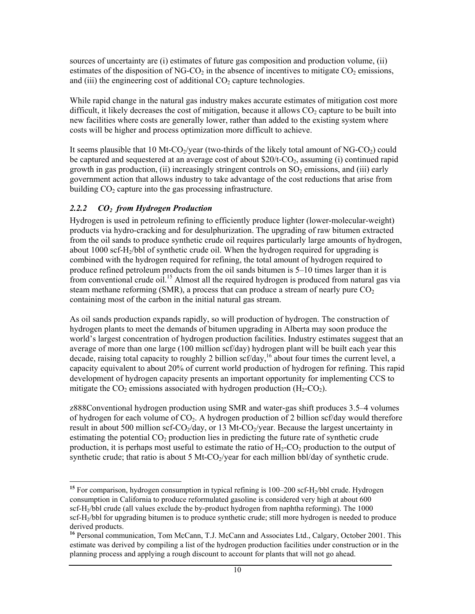sources of uncertainty are (i) estimates of future gas composition and production volume, (ii) estimates of the disposition of NG-CO<sub>2</sub> in the absence of incentives to mitigate  $CO<sub>2</sub>$  emissions, and (iii) the engineering cost of additional  $CO<sub>2</sub>$  capture technologies.

While rapid change in the natural gas industry makes accurate estimates of mitigation cost more difficult, it likely decreases the cost of mitigation, because it allows  $CO<sub>2</sub>$  capture to be built into new facilities where costs are generally lower, rather than added to the existing system where costs will be higher and process optimization more difficult to achieve.

It seems plausible that 10 Mt-CO<sub>2</sub>/year (two-thirds of the likely total amount of NG-CO<sub>2</sub>) could be captured and sequestered at an average cost of about  $$20/t$ -CO<sub>2</sub>, assuming (i) continued rapid growth in gas production, (ii) increasingly stringent controls on  $SO<sub>2</sub>$  emissions, and (iii) early government action that allows industry to take advantage of the cost reductions that arise from building  $CO<sub>2</sub>$  capture into the gas processing infrastructure.

#### *2.2.2 CO2 from Hydrogen Production*

1

Hydrogen is used in petroleum refining to efficiently produce lighter (lower-molecular-weight) products via hydro-cracking and for desulphurization. The upgrading of raw bitumen extracted from the oil sands to produce synthetic crude oil requires particularly large amounts of hydrogen, about 1000 scf- $H_2/b$ bl of synthetic crude oil. When the hydrogen required for upgrading is combined with the hydrogen required for refining, the total amount of hydrogen required to produce refined petroleum products from the oil sands bitumen is 5–10 times larger than it is from conventional crude oil.<sup>15</sup> Almost all the required hydrogen is produced from natural gas via steam methane reforming (SMR), a process that can produce a stream of nearly pure  $CO<sub>2</sub>$ containing most of the carbon in the initial natural gas stream.

As oil sands production expands rapidly, so will production of hydrogen. The construction of hydrogen plants to meet the demands of bitumen upgrading in Alberta may soon produce the world's largest concentration of hydrogen production facilities. Industry estimates suggest that an average of more than one large (100 million scf/day) hydrogen plant will be built each year this decade, raising total capacity to roughly 2 billion scf/day,<sup>16</sup> about four times the current level, a capacity equivalent to about 20% of current world production of hydrogen for refining. This rapid development of hydrogen capacity presents an important opportunity for implementing CCS to mitigate the  $CO_2$  emissions associated with hydrogen production  $(H_2-CO_2)$ .

z888Conventional hydrogen production using SMR and water-gas shift produces 3.5–4 volumes of hydrogen for each volume of  $CO<sub>2</sub>$ . A hydrogen production of 2 billion scf/day would therefore result in about 500 million scf-CO<sub>2</sub>/day, or 13 Mt-CO<sub>2</sub>/year. Because the largest uncertainty in estimating the potential  $CO<sub>2</sub>$  production lies in predicting the future rate of synthetic crude production, it is perhaps most useful to estimate the ratio of  $H_2$ -CO<sub>2</sub> production to the output of synthetic crude; that ratio is about 5 Mt-CO $_2$ /year for each million bbl/day of synthetic crude.

<sup>&</sup>lt;sup>15</sup> For comparison, hydrogen consumption in typical refining is 100–200 scf-H<sub>2</sub>/bbl crude. Hydrogen consumption in California to produce reformulated gasoline is considered very high at about 600 scf-H<sub>2</sub>/bbl crude (all values exclude the by-product hydrogen from naphtha reforming). The 1000 scf-H<sub>2</sub>/bbl for upgrading bitumen is to produce synthetic crude; still more hydrogen is needed to produce derived products.

<sup>&</sup>lt;sup>16</sup> Personal communication, Tom McCann, T.J. McCann and Associates Ltd., Calgary, October 2001. This estimate was derived by compiling a list of the hydrogen production facilities under construction or in the planning process and applying a rough discount to account for plants that will not go ahead.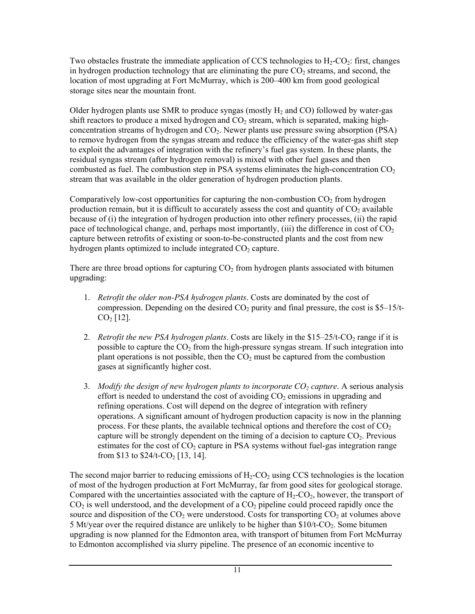Two obstacles frustrate the immediate application of CCS technologies to  $H_2$ -CO<sub>2</sub>: first, changes in hydrogen production technology that are eliminating the pure  $CO<sub>2</sub>$  streams, and second, the location of most upgrading at Fort McMurray, which is 200–400 km from good geological storage sites near the mountain front.

Older hydrogen plants use SMR to produce syngas (mostly  $H_2$  and CO) followed by water-gas shift reactors to produce a mixed hydrogen and  $CO<sub>2</sub>$  stream, which is separated, making highconcentration streams of hydrogen and  $CO<sub>2</sub>$ . Newer plants use pressure swing absorption (PSA) to remove hydrogen from the syngas stream and reduce the efficiency of the water-gas shift step to exploit the advantages of integration with the refinery's fuel gas system. In these plants, the residual syngas stream (after hydrogen removal) is mixed with other fuel gases and then combusted as fuel. The combustion step in PSA systems eliminates the high-concentration  $CO<sub>2</sub>$ stream that was available in the older generation of hydrogen production plants.

Comparatively low-cost opportunities for capturing the non-combustion  $CO<sub>2</sub>$  from hydrogen production remain, but it is difficult to accurately assess the cost and quantity of  $CO<sub>2</sub>$  available because of (i) the integration of hydrogen production into other refinery processes, (ii) the rapid pace of technological change, and, perhaps most importantly, (iii) the difference in cost of  $CO<sub>2</sub>$ capture between retrofits of existing or soon-to-be-constructed plants and the cost from new hydrogen plants optimized to include integrated  $CO<sub>2</sub>$  capture.

There are three broad options for capturing  $CO<sub>2</sub>$  from hydrogen plants associated with bitumen upgrading:

- 1. *Retrofit the older non-PSA hydrogen plants*. Costs are dominated by the cost of compression. Depending on the desired  $CO<sub>2</sub>$  purity and final pressure, the cost is \$5–15/t- $CO<sub>2</sub>$  [12].
- 2. *Retrofit the new PSA hydrogen plants*. Costs are likely in the \$15–25/t-CO<sub>2</sub> range if it is possible to capture the  $CO<sub>2</sub>$  from the high-pressure syngas stream. If such integration into plant operations is not possible, then the  $CO<sub>2</sub>$  must be captured from the combustion gases at significantly higher cost.
- 3. Modify the design of new hydrogen plants to incorporate CO<sub>2</sub> capture. A serious analysis effort is needed to understand the cost of avoiding  $CO<sub>2</sub>$  emissions in upgrading and refining operations. Cost will depend on the degree of integration with refinery operations. A significant amount of hydrogen production capacity is now in the planning process. For these plants, the available technical options and therefore the cost of  $CO<sub>2</sub>$ capture will be strongly dependent on the timing of a decision to capture  $CO<sub>2</sub>$ . Previous estimates for the cost of  $CO<sub>2</sub>$  capture in PSA systems without fuel-gas integration range from \$13 to  $$24/t$ -CO<sub>2</sub> [13, 14].

The second major barrier to reducing emissions of  $H_2$ -CO<sub>2</sub> using CCS technologies is the location of most of the hydrogen production at Fort McMurray, far from good sites for geological storage. Compared with the uncertainties associated with the capture of  $H_2$ -CO<sub>2</sub>, however, the transport of  $CO<sub>2</sub>$  is well understood, and the development of a  $CO<sub>2</sub>$  pipeline could proceed rapidly once the source and disposition of the  $CO<sub>2</sub>$  were understood. Costs for transporting  $CO<sub>2</sub>$  at volumes above 5 Mt/year over the required distance are unlikely to be higher than  $$10/t$ - $CO<sub>2</sub>$ . Some bitumen upgrading is now planned for the Edmonton area, with transport of bitumen from Fort McMurray to Edmonton accomplished via slurry pipeline. The presence of an economic incentive to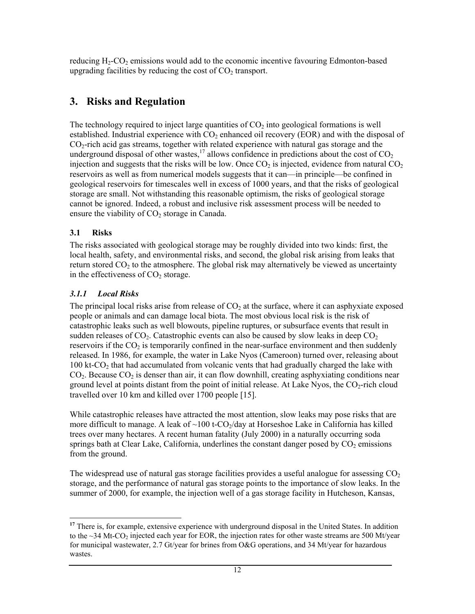reducing  $H_2$ -CO<sub>2</sub> emissions would add to the economic incentive favouring Edmonton-based upgrading facilities by reducing the cost of  $CO<sub>2</sub>$  transport.

# **3. Risks and Regulation**

The technology required to inject large quantities of  $CO<sub>2</sub>$  into geological formations is well established. Industrial experience with  $CO<sub>2</sub>$  enhanced oil recovery (EOR) and with the disposal of  $CO<sub>2</sub>$ -rich acid gas streams, together with related experience with natural gas storage and the underground disposal of other wastes,<sup>17</sup> allows confidence in predictions about the cost of  $CO<sub>2</sub>$ injection and suggests that the risks will be low. Once  $CO<sub>2</sub>$  is injected, evidence from natural  $CO<sub>2</sub>$ reservoirs as well as from numerical models suggests that it can—in principle—be confined in geological reservoirs for timescales well in excess of 1000 years, and that the risks of geological storage are small. Not withstanding this reasonable optimism, the risks of geological storage cannot be ignored. Indeed, a robust and inclusive risk assessment process will be needed to ensure the viability of  $CO<sub>2</sub>$  storage in Canada.

#### **3.1 Risks**

The risks associated with geological storage may be roughly divided into two kinds: first, the local health, safety, and environmental risks, and second, the global risk arising from leaks that return stored  $CO<sub>2</sub>$  to the atmosphere. The global risk may alternatively be viewed as uncertainty in the effectiveness of  $CO<sub>2</sub>$  storage.

#### *3.1.1 Local Risks*

The principal local risks arise from release of  $CO<sub>2</sub>$  at the surface, where it can asphyxiate exposed people or animals and can damage local biota. The most obvious local risk is the risk of catastrophic leaks such as well blowouts, pipeline ruptures, or subsurface events that result in sudden releases of  $CO<sub>2</sub>$ . Catastrophic events can also be caused by slow leaks in deep  $CO<sub>2</sub>$ reservoirs if the  $CO<sub>2</sub>$  is temporarily confined in the near-surface environment and then suddenly released. In 1986, for example, the water in Lake Nyos (Cameroon) turned over, releasing about 100 kt-CO<sub>2</sub> that had accumulated from volcanic vents that had gradually charged the lake with  $CO<sub>2</sub>$ . Because  $CO<sub>2</sub>$  is denser than air, it can flow downhill, creating asphyxiating conditions near ground level at points distant from the point of initial release. At Lake Nyos, the  $CO<sub>2</sub>$ -rich cloud travelled over 10 km and killed over 1700 people [15].

While catastrophic releases have attracted the most attention, slow leaks may pose risks that are more difficult to manage. A leak of  $\sim$ 100 t-CO<sub>2</sub>/day at Horseshoe Lake in California has killed trees over many hectares. A recent human fatality (July 2000) in a naturally occurring soda springs bath at Clear Lake, California, underlines the constant danger posed by  $CO<sub>2</sub>$  emissions from the ground.

The widespread use of natural gas storage facilities provides a useful analogue for assessing  $CO<sub>2</sub>$ storage, and the performance of natural gas storage points to the importance of slow leaks. In the summer of 2000, for example, the injection well of a gas storage facility in Hutcheson, Kansas,

l <sup>17</sup> There is, for example, extensive experience with underground disposal in the United States. In addition to the  $\sim$ 34 Mt-CO<sub>2</sub> injected each year for EOR, the injection rates for other waste streams are 500 Mt/year for municipal wastewater, 2.7 Gt/year for brines from O&G operations, and 34 Mt/year for hazardous wastes.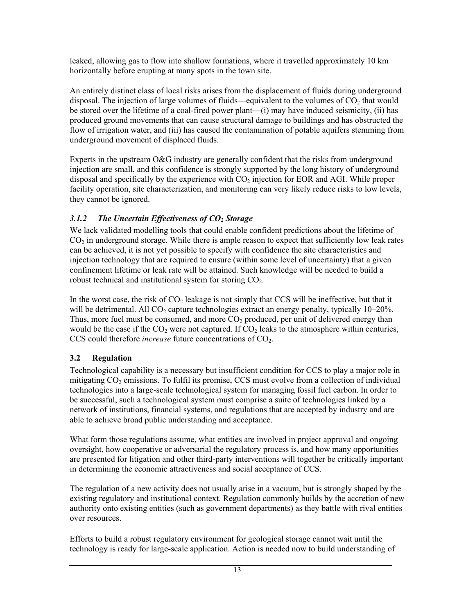leaked, allowing gas to flow into shallow formations, where it travelled approximately 10 km horizontally before erupting at many spots in the town site.

An entirely distinct class of local risks arises from the displacement of fluids during underground disposal. The injection of large volumes of fluids—equivalent to the volumes of  $CO<sub>2</sub>$  that would be stored over the lifetime of a coal-fired power plant—(i) may have induced seismicity, (ii) has produced ground movements that can cause structural damage to buildings and has obstructed the flow of irrigation water, and (iii) has caused the contamination of potable aquifers stemming from underground movement of displaced fluids.

Experts in the upstream O&G industry are generally confident that the risks from underground injection are small, and this confidence is strongly supported by the long history of underground disposal and specifically by the experience with  $CO<sub>2</sub>$  injection for EOR and AGI. While proper facility operation, site characterization, and monitoring can very likely reduce risks to low levels, they cannot be ignored.

#### 3.1.2 The Uncertain Effectiveness of CO<sub>2</sub> Storage

We lack validated modelling tools that could enable confident predictions about the lifetime of  $CO<sub>2</sub>$  in underground storage. While there is ample reason to expect that sufficiently low leak rates can be achieved, it is not yet possible to specify with confidence the site characteristics and injection technology that are required to ensure (within some level of uncertainty) that a given confinement lifetime or leak rate will be attained. Such knowledge will be needed to build a robust technical and institutional system for storing  $CO<sub>2</sub>$ .

In the worst case, the risk of  $CO<sub>2</sub>$  leakage is not simply that CCS will be ineffective, but that it will be detrimental. All  $CO<sub>2</sub>$  capture technologies extract an energy penalty, typically 10–20%. Thus, more fuel must be consumed, and more  $CO<sub>2</sub>$  produced, per unit of delivered energy than would be the case if the  $CO<sub>2</sub>$  were not captured. If  $CO<sub>2</sub>$  leaks to the atmosphere within centuries, CCS could therefore *increase* future concentrations of CO<sub>2</sub>.

### **3.2 Regulation**

Technological capability is a necessary but insufficient condition for CCS to play a major role in mitigating  $CO<sub>2</sub>$  emissions. To fulfil its promise, CCS must evolve from a collection of individual technologies into a large-scale technological system for managing fossil fuel carbon. In order to be successful, such a technological system must comprise a suite of technologies linked by a network of institutions, financial systems, and regulations that are accepted by industry and are able to achieve broad public understanding and acceptance.

What form those regulations assume, what entities are involved in project approval and ongoing oversight, how cooperative or adversarial the regulatory process is, and how many opportunities are presented for litigation and other third-party interventions will together be critically important in determining the economic attractiveness and social acceptance of CCS.

The regulation of a new activity does not usually arise in a vacuum, but is strongly shaped by the existing regulatory and institutional context. Regulation commonly builds by the accretion of new authority onto existing entities (such as government departments) as they battle with rival entities over resources.

Efforts to build a robust regulatory environment for geological storage cannot wait until the technology is ready for large-scale application. Action is needed now to build understanding of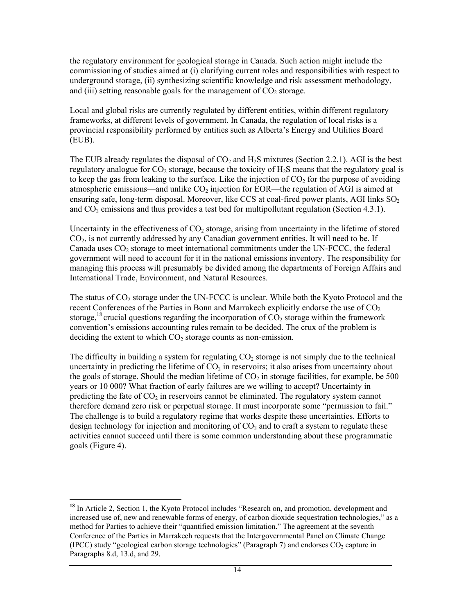the regulatory environment for geological storage in Canada. Such action might include the commissioning of studies aimed at (i) clarifying current roles and responsibilities with respect to underground storage, (ii) synthesizing scientific knowledge and risk assessment methodology, and (iii) setting reasonable goals for the management of  $CO<sub>2</sub>$  storage.

Local and global risks are currently regulated by different entities, within different regulatory frameworks, at different levels of government. In Canada, the regulation of local risks is a provincial responsibility performed by entities such as Alberta's Energy and Utilities Board (EUB).

The EUB already regulates the disposal of  $CO<sub>2</sub>$  and H<sub>2</sub>S mixtures (Section 2.2.1). AGI is the best regulatory analogue for  $CO<sub>2</sub>$  storage, because the toxicity of  $H<sub>2</sub>S$  means that the regulatory goal is to keep the gas from leaking to the surface. Like the injection of  $CO<sub>2</sub>$  for the purpose of avoiding atmospheric emissions—and unlike  $CO<sub>2</sub>$  injection for EOR—the regulation of AGI is aimed at ensuring safe, long-term disposal. Moreover, like CCS at coal-fired power plants, AGI links  $SO<sub>2</sub>$ and  $CO<sub>2</sub>$  emissions and thus provides a test bed for multipollutant regulation (Section 4.3.1).

Uncertainty in the effectiveness of  $CO<sub>2</sub>$  storage, arising from uncertainty in the lifetime of stored CO2, is not currently addressed by any Canadian government entities. It will need to be. If Canada uses  $CO<sub>2</sub>$  storage to meet international commitments under the UN-FCCC, the federal government will need to account for it in the national emissions inventory. The responsibility for managing this process will presumably be divided among the departments of Foreign Affairs and International Trade, Environment, and Natural Resources.

The status of CO<sub>2</sub> storage under the UN-FCCC is unclear. While both the Kyoto Protocol and the recent Conferences of the Parties in Bonn and Marrakech explicitly endorse the use of  $CO<sub>2</sub>$ storage,<sup>18</sup> crucial questions regarding the incorporation of  $CO<sub>2</sub>$  storage within the framework convention's emissions accounting rules remain to be decided. The crux of the problem is deciding the extent to which  $CO<sub>2</sub>$  storage counts as non-emission.

The difficulty in building a system for regulating  $CO<sub>2</sub>$  storage is not simply due to the technical uncertainty in predicting the lifetime of  $CO<sub>2</sub>$  in reservoirs; it also arises from uncertainty about the goals of storage. Should the median lifetime of  $CO<sub>2</sub>$  in storage facilities, for example, be 500 years or 10 000? What fraction of early failures are we willing to accept? Uncertainty in predicting the fate of  $CO<sub>2</sub>$  in reservoirs cannot be eliminated. The regulatory system cannot therefore demand zero risk or perpetual storage. It must incorporate some "permission to fail." The challenge is to build a regulatory regime that works despite these uncertainties. Efforts to design technology for injection and monitoring of  $CO<sub>2</sub>$  and to craft a system to regulate these activities cannot succeed until there is some common understanding about these programmatic goals (Figure 4).

l

**<sup>18</sup>** In Article 2, Section 1, the Kyoto Protocol includes "Research on, and promotion, development and increased use of, new and renewable forms of energy, of carbon dioxide sequestration technologies," as a method for Parties to achieve their "quantified emission limitation." The agreement at the seventh Conference of the Parties in Marrakech requests that the Intergovernmental Panel on Climate Change (IPCC) study "geological carbon storage technologies" (Paragraph 7) and endorses  $CO<sub>2</sub>$  capture in Paragraphs 8.d, 13.d, and 29.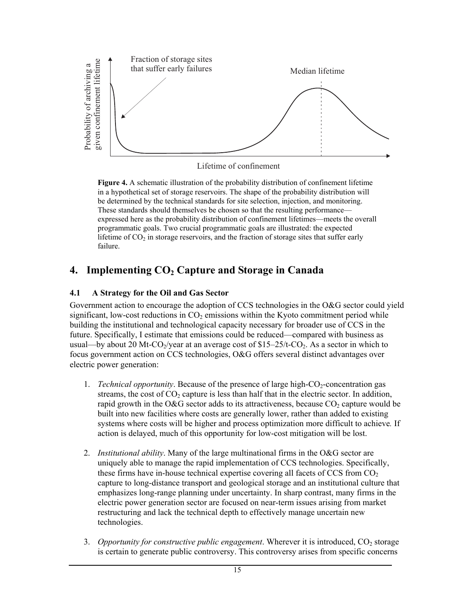

Lifetime of confinement

**Figure 4.** A schematic illustration of the probability distribution of confinement lifetime in a hypothetical set of storage reservoirs. The shape of the probability distribution will be determined by the technical standards for site selection, injection, and monitoring. These standards should themselves be chosen so that the resulting performance expressed here as the probability distribution of confinement lifetimes—meets the overall programmatic goals. Two crucial programmatic goals are illustrated: the expected lifetime of  $CO<sub>2</sub>$  in storage reservoirs, and the fraction of storage sites that suffer early failure.

# 4. Implementing CO<sub>2</sub> Capture and Storage in Canada

#### **4.1 A Strategy for the Oil and Gas Sector**

Government action to encourage the adoption of CCS technologies in the O&G sector could yield significant, low-cost reductions in  $CO<sub>2</sub>$  emissions within the Kyoto commitment period while building the institutional and technological capacity necessary for broader use of CCS in the future. Specifically, I estimate that emissions could be reduced—compared with business as usual—by about 20 Mt-CO<sub>2</sub>/year at an average cost of  $$15-25/t$ -CO<sub>2</sub>. As a sector in which to focus government action on CCS technologies, O&G offers several distinct advantages over electric power generation:

- 1. *Technical opportunity*. Because of the presence of large high- $CO_2$ -concentration gas streams, the cost of  $CO<sub>2</sub>$  capture is less than half that in the electric sector. In addition, rapid growth in the O&G sector adds to its attractiveness, because  $CO<sub>2</sub>$  capture would be built into new facilities where costs are generally lower, rather than added to existing systems where costs will be higher and process optimization more difficult to achieve*.* If action is delayed, much of this opportunity for low-cost mitigation will be lost.
- 2. *Institutional ability*. Many of the large multinational firms in the O&G sector are uniquely able to manage the rapid implementation of CCS technologies. Specifically, these firms have in-house technical expertise covering all facets of CCS from  $CO<sub>2</sub>$ capture to long-distance transport and geological storage and an institutional culture that emphasizes long-range planning under uncertainty. In sharp contrast, many firms in the electric power generation sector are focused on near-term issues arising from market restructuring and lack the technical depth to effectively manage uncertain new technologies.
- 3. *Opportunity for constructive public engagement*. Wherever it is introduced, CO<sub>2</sub> storage is certain to generate public controversy. This controversy arises from specific concerns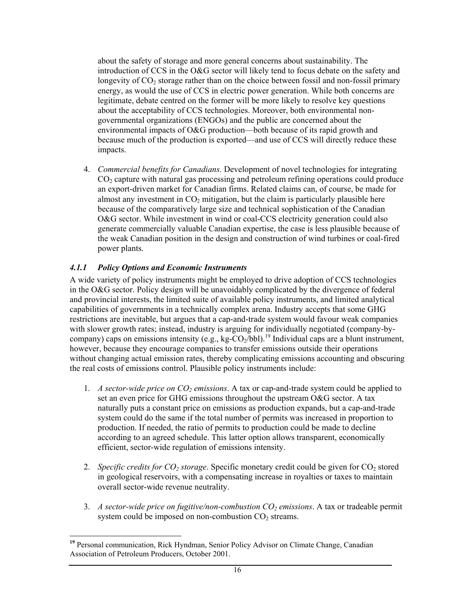about the safety of storage and more general concerns about sustainability. The introduction of CCS in the O&G sector will likely tend to focus debate on the safety and longevity of  $CO<sub>2</sub>$  storage rather than on the choice between fossil and non-fossil primary energy, as would the use of CCS in electric power generation. While both concerns are legitimate, debate centred on the former will be more likely to resolve key questions about the acceptability of CCS technologies. Moreover, both environmental nongovernmental organizations (ENGOs) and the public are concerned about the environmental impacts of O&G production—both because of its rapid growth and because much of the production is exported—and use of CCS will directly reduce these impacts.

4. *Commercial benefits for Canadians.* Development of novel technologies for integrating  $CO<sub>2</sub>$  capture with natural gas processing and petroleum refining operations could produce an export-driven market for Canadian firms. Related claims can, of course, be made for almost any investment in  $CO<sub>2</sub>$  mitigation, but the claim is particularly plausible here because of the comparatively large size and technical sophistication of the Canadian O&G sector. While investment in wind or coal-CCS electricity generation could also generate commercially valuable Canadian expertise, the case is less plausible because of the weak Canadian position in the design and construction of wind turbines or coal-fired power plants.

#### *4.1.1 Policy Options and Economic Instruments*

A wide variety of policy instruments might be employed to drive adoption of CCS technologies in the O&G sector. Policy design will be unavoidably complicated by the divergence of federal and provincial interests, the limited suite of available policy instruments, and limited analytical capabilities of governments in a technically complex arena. Industry accepts that some GHG restrictions are inevitable, but argues that a cap-and-trade system would favour weak companies with slower growth rates; instead, industry is arguing for individually negotiated (company-bycompany) caps on emissions intensity (e.g., kg-CO<sub>2</sub>/bbl).<sup>19</sup> Individual caps are a blunt instrument, however, because they encourage companies to transfer emissions outside their operations without changing actual emission rates, thereby complicating emissions accounting and obscuring the real costs of emissions control. Plausible policy instruments include:

- 1. *A sector-wide price on*  $CO_2$  *emissions.* A tax or cap-and-trade system could be applied to set an even price for GHG emissions throughout the upstream O&G sector. A tax naturally puts a constant price on emissions as production expands, but a cap-and-trade system could do the same if the total number of permits was increased in proportion to production. If needed, the ratio of permits to production could be made to decline according to an agreed schedule. This latter option allows transparent, economically efficient, sector-wide regulation of emissions intensity.
- 2. *Specific credits for CO<sub>2</sub> storage*. Specific monetary credit could be given for CO<sub>2</sub> stored in geological reservoirs, with a compensating increase in royalties or taxes to maintain overall sector-wide revenue neutrality.
- 3. *A sector-wide price on fugitive/non-combustion CO2 emissions*. A tax or tradeable permit system could be imposed on non-combustion  $CO<sub>2</sub>$  streams.

<sup>-</sup>**<sup>19</sup>** Personal communication, Rick Hyndman, Senior Policy Advisor on Climate Change, Canadian Association of Petroleum Producers, October 2001.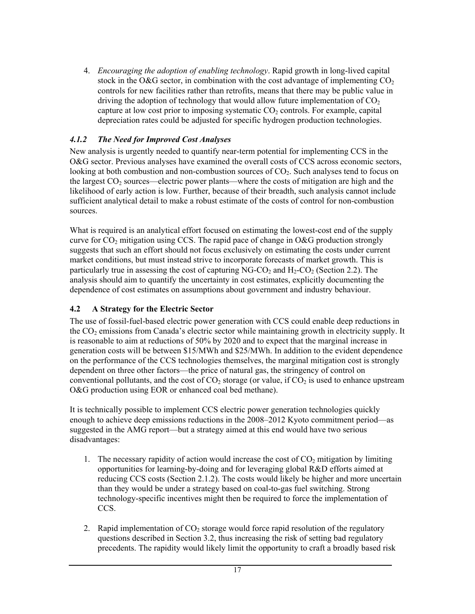4. *Encouraging the adoption of enabling technology*. Rapid growth in long-lived capital stock in the O&G sector, in combination with the cost advantage of implementing  $CO<sub>2</sub>$ controls for new facilities rather than retrofits, means that there may be public value in driving the adoption of technology that would allow future implementation of  $CO<sub>2</sub>$ capture at low cost prior to imposing systematic  $CO<sub>2</sub>$  controls. For example, capital depreciation rates could be adjusted for specific hydrogen production technologies.

#### *4.1.2 The Need for Improved Cost Analyses*

New analysis is urgently needed to quantify near-term potential for implementing CCS in the O&G sector. Previous analyses have examined the overall costs of CCS across economic sectors, looking at both combustion and non-combustion sources of CO<sub>2</sub>. Such analyses tend to focus on the largest  $CO<sub>2</sub>$  sources—electric power plants—where the costs of mitigation are high and the likelihood of early action is low. Further, because of their breadth, such analysis cannot include sufficient analytical detail to make a robust estimate of the costs of control for non-combustion sources.

What is required is an analytical effort focused on estimating the lowest-cost end of the supply curve for  $CO<sub>2</sub>$  mitigation using CCS. The rapid pace of change in O&G production strongly suggests that such an effort should not focus exclusively on estimating the costs under current market conditions, but must instead strive to incorporate forecasts of market growth. This is particularly true in assessing the cost of capturing NG-CO<sub>2</sub> and  $H_2$ -CO<sub>2</sub> (Section 2.2). The analysis should aim to quantify the uncertainty in cost estimates, explicitly documenting the dependence of cost estimates on assumptions about government and industry behaviour.

#### **4.2 A Strategy for the Electric Sector**

The use of fossil-fuel-based electric power generation with CCS could enable deep reductions in the  $CO<sub>2</sub>$  emissions from Canada's electric sector while maintaining growth in electricity supply. It is reasonable to aim at reductions of 50% by 2020 and to expect that the marginal increase in generation costs will be between \$15/MWh and \$25/MWh. In addition to the evident dependence on the performance of the CCS technologies themselves, the marginal mitigation cost is strongly dependent on three other factors—the price of natural gas, the stringency of control on conventional pollutants, and the cost of  $CO_2$  storage (or value, if  $CO_2$  is used to enhance upstream O&G production using EOR or enhanced coal bed methane).

It is technically possible to implement CCS electric power generation technologies quickly enough to achieve deep emissions reductions in the 2008–2012 Kyoto commitment period—as suggested in the AMG report—but a strategy aimed at this end would have two serious disadvantages:

- 1. The necessary rapidity of action would increase the cost of  $CO<sub>2</sub>$  mitigation by limiting opportunities for learning-by-doing and for leveraging global R&D efforts aimed at reducing CCS costs (Section 2.1.2). The costs would likely be higher and more uncertain than they would be under a strategy based on coal-to-gas fuel switching. Strong technology-specific incentives might then be required to force the implementation of CCS.
- 2. Rapid implementation of  $CO<sub>2</sub>$  storage would force rapid resolution of the regulatory questions described in Section 3.2, thus increasing the risk of setting bad regulatory precedents. The rapidity would likely limit the opportunity to craft a broadly based risk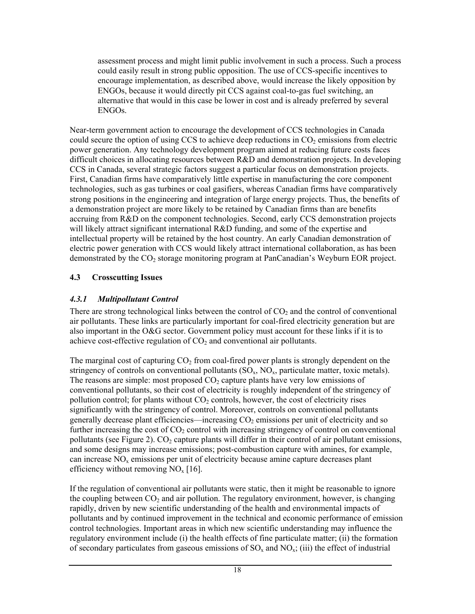assessment process and might limit public involvement in such a process. Such a process could easily result in strong public opposition. The use of CCS-specific incentives to encourage implementation, as described above, would increase the likely opposition by ENGOs, because it would directly pit CCS against coal-to-gas fuel switching, an alternative that would in this case be lower in cost and is already preferred by several ENGOs.

Near-term government action to encourage the development of CCS technologies in Canada could secure the option of using CCS to achieve deep reductions in  $CO<sub>2</sub>$  emissions from electric power generation. Any technology development program aimed at reducing future costs faces difficult choices in allocating resources between R&D and demonstration projects. In developing CCS in Canada, several strategic factors suggest a particular focus on demonstration projects. First, Canadian firms have comparatively little expertise in manufacturing the core component technologies, such as gas turbines or coal gasifiers, whereas Canadian firms have comparatively strong positions in the engineering and integration of large energy projects. Thus, the benefits of a demonstration project are more likely to be retained by Canadian firms than are benefits accruing from R&D on the component technologies. Second, early CCS demonstration projects will likely attract significant international R&D funding, and some of the expertise and intellectual property will be retained by the host country. An early Canadian demonstration of electric power generation with CCS would likely attract international collaboration, as has been demonstrated by the CO<sub>2</sub> storage monitoring program at PanCanadian's Weyburn EOR project.

#### **4.3 Crosscutting Issues**

#### *4.3.1 Multipollutant Control*

There are strong technological links between the control of  $CO<sub>2</sub>$  and the control of conventional air pollutants. These links are particularly important for coal-fired electricity generation but are also important in the O&G sector. Government policy must account for these links if it is to achieve cost-effective regulation of  $CO<sub>2</sub>$  and conventional air pollutants.

The marginal cost of capturing  $CO<sub>2</sub>$  from coal-fired power plants is strongly dependent on the stringency of controls on conventional pollutants  $(SO<sub>x</sub>, NO<sub>x</sub>,$  particulate matter, toxic metals). The reasons are simple: most proposed  $CO<sub>2</sub>$  capture plants have very low emissions of conventional pollutants, so their cost of electricity is roughly independent of the stringency of pollution control; for plants without  $CO<sub>2</sub>$  controls, however, the cost of electricity rises significantly with the stringency of control. Moreover, controls on conventional pollutants generally decrease plant efficiencies—increasing  $CO<sub>2</sub>$  emissions per unit of electricity and so further increasing the cost of  $CO<sub>2</sub>$  control with increasing stringency of control on conventional pollutants (see Figure 2).  $CO_2$  capture plants will differ in their control of air pollutant emissions, and some designs may increase emissions; post-combustion capture with amines, for example, can increase  $NO<sub>x</sub>$  emissions per unit of electricity because amine capture decreases plant efficiency without removing  $NO<sub>x</sub>$  [16].

If the regulation of conventional air pollutants were static, then it might be reasonable to ignore the coupling between  $CO<sub>2</sub>$  and air pollution. The regulatory environment, however, is changing rapidly, driven by new scientific understanding of the health and environmental impacts of pollutants and by continued improvement in the technical and economic performance of emission control technologies. Important areas in which new scientific understanding may influence the regulatory environment include (i) the health effects of fine particulate matter; (ii) the formation of secondary particulates from gaseous emissions of  $SO_x$  and  $NO_x$ ; (iii) the effect of industrial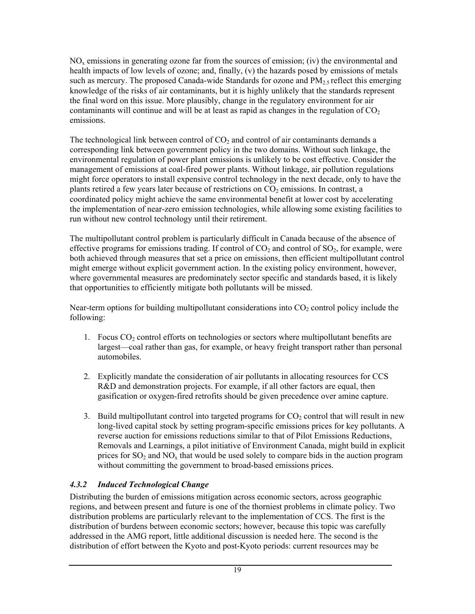$NO<sub>x</sub>$  emissions in generating ozone far from the sources of emission; (iv) the environmental and health impacts of low levels of ozone; and, finally, (v) the hazards posed by emissions of metals such as mercury. The proposed Canada-wide Standards for ozone and  $PM_{2.5}$  reflect this emerging knowledge of the risks of air contaminants, but it is highly unlikely that the standards represent the final word on this issue. More plausibly, change in the regulatory environment for air contaminants will continue and will be at least as rapid as changes in the regulation of  $CO<sub>2</sub>$ emissions.

The technological link between control of  $CO<sub>2</sub>$  and control of air contaminants demands a corresponding link between government policy in the two domains. Without such linkage, the environmental regulation of power plant emissions is unlikely to be cost effective. Consider the management of emissions at coal-fired power plants. Without linkage, air pollution regulations might force operators to install expensive control technology in the next decade, only to have the plants retired a few years later because of restrictions on  $CO<sub>2</sub>$  emissions. In contrast, a coordinated policy might achieve the same environmental benefit at lower cost by accelerating the implementation of near-zero emission technologies, while allowing some existing facilities to run without new control technology until their retirement.

The multipollutant control problem is particularly difficult in Canada because of the absence of effective programs for emissions trading. If control of  $CO<sub>2</sub>$  and control of  $SO<sub>2</sub>$ , for example, were both achieved through measures that set a price on emissions, then efficient multipollutant control might emerge without explicit government action. In the existing policy environment, however, where governmental measures are predominately sector specific and standards based, it is likely that opportunities to efficiently mitigate both pollutants will be missed.

Near-term options for building multipollutant considerations into  $CO<sub>2</sub>$  control policy include the following:

- 1. Focus  $CO<sub>2</sub>$  control efforts on technologies or sectors where multipollutant benefits are largest—coal rather than gas, for example, or heavy freight transport rather than personal automobiles.
- 2. Explicitly mandate the consideration of air pollutants in allocating resources for CCS R&D and demonstration projects. For example, if all other factors are equal, then gasification or oxygen-fired retrofits should be given precedence over amine capture.
- 3. Build multipollutant control into targeted programs for  $CO<sub>2</sub>$  control that will result in new long-lived capital stock by setting program-specific emissions prices for key pollutants. A reverse auction for emissions reductions similar to that of Pilot Emissions Reductions, Removals and Learnings, a pilot initiative of Environment Canada, might build in explicit prices for  $SO_2$  and  $NO_x$  that would be used solely to compare bids in the auction program without committing the government to broad-based emissions prices.

#### *4.3.2 Induced Technological Change*

Distributing the burden of emissions mitigation across economic sectors, across geographic regions, and between present and future is one of the thorniest problems in climate policy. Two distribution problems are particularly relevant to the implementation of CCS. The first is the distribution of burdens between economic sectors; however, because this topic was carefully addressed in the AMG report, little additional discussion is needed here. The second is the distribution of effort between the Kyoto and post-Kyoto periods: current resources may be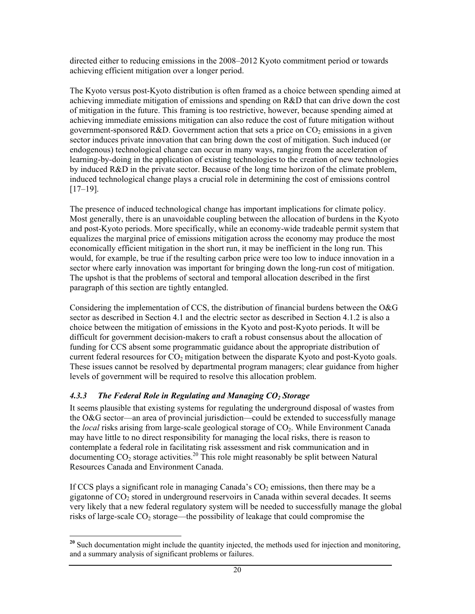directed either to reducing emissions in the 2008–2012 Kyoto commitment period or towards achieving efficient mitigation over a longer period.

The Kyoto versus post-Kyoto distribution is often framed as a choice between spending aimed at achieving immediate mitigation of emissions and spending on R&D that can drive down the cost of mitigation in the future. This framing is too restrictive, however, because spending aimed at achieving immediate emissions mitigation can also reduce the cost of future mitigation without government-sponsored  $R&D$ . Government action that sets a price on  $CO<sub>2</sub>$  emissions in a given sector induces private innovation that can bring down the cost of mitigation. Such induced (or endogenous) technological change can occur in many ways, ranging from the acceleration of learning-by-doing in the application of existing technologies to the creation of new technologies by induced R&D in the private sector. Because of the long time horizon of the climate problem, induced technological change plays a crucial role in determining the cost of emissions control [17–19].

The presence of induced technological change has important implications for climate policy. Most generally, there is an unavoidable coupling between the allocation of burdens in the Kyoto and post-Kyoto periods. More specifically, while an economy-wide tradeable permit system that equalizes the marginal price of emissions mitigation across the economy may produce the most economically efficient mitigation in the short run, it may be inefficient in the long run. This would, for example, be true if the resulting carbon price were too low to induce innovation in a sector where early innovation was important for bringing down the long-run cost of mitigation. The upshot is that the problems of sectoral and temporal allocation described in the first paragraph of this section are tightly entangled.

Considering the implementation of CCS, the distribution of financial burdens between the O&G sector as described in Section 4.1 and the electric sector as described in Section 4.1.2 is also a choice between the mitigation of emissions in the Kyoto and post-Kyoto periods. It will be difficult for government decision-makers to craft a robust consensus about the allocation of funding for CCS absent some programmatic guidance about the appropriate distribution of current federal resources for  $CO<sub>2</sub>$  mitigation between the disparate Kyoto and post-Kyoto goals. These issues cannot be resolved by departmental program managers; clear guidance from higher levels of government will be required to resolve this allocation problem.

#### 4.3.3 The Federal Role in Regulating and Managing CO<sub>2</sub> Storage

It seems plausible that existing systems for regulating the underground disposal of wastes from the O&G sector—an area of provincial jurisdiction—could be extended to successfully manage the *local* risks arising from large-scale geological storage of CO2. While Environment Canada may have little to no direct responsibility for managing the local risks, there is reason to contemplate a federal role in facilitating risk assessment and risk communication and in documenting CO<sub>2</sub> storage activities.<sup>20</sup> This role might reasonably be split between Natural Resources Canada and Environment Canada.

If CCS plays a significant role in managing Canada's  $CO<sub>2</sub>$  emissions, then there may be a gigatonne of  $CO<sub>2</sub>$  stored in underground reservoirs in Canada within several decades. It seems very likely that a new federal regulatory system will be needed to successfully manage the global risks of large-scale  $CO<sub>2</sub>$  storage—the possibility of leakage that could compromise the

<sup>-</sup><sup>20</sup> Such documentation might include the quantity injected, the methods used for injection and monitoring, and a summary analysis of significant problems or failures.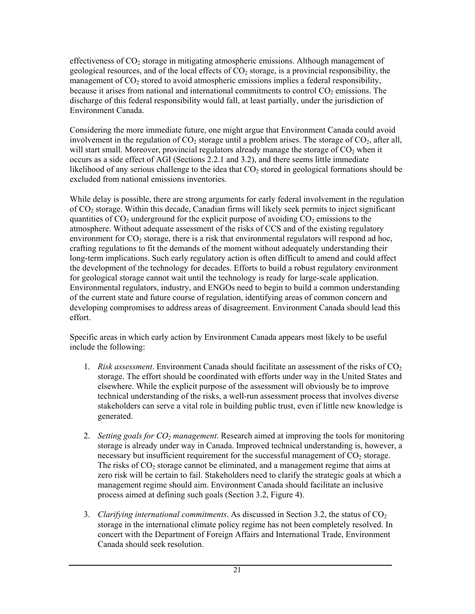effectiveness of  $CO<sub>2</sub>$  storage in mitigating atmospheric emissions. Although management of geological resources, and of the local effects of  $CO<sub>2</sub>$  storage, is a provincial responsibility, the management of CO<sub>2</sub> stored to avoid atmospheric emissions implies a federal responsibility, because it arises from national and international commitments to control  $CO<sub>2</sub>$  emissions. The discharge of this federal responsibility would fall, at least partially, under the jurisdiction of Environment Canada.

Considering the more immediate future, one might argue that Environment Canada could avoid involvement in the regulation of  $CO_2$  storage until a problem arises. The storage of  $CO_2$ , after all, will start small. Moreover, provincial regulators already manage the storage of  $CO<sub>2</sub>$  when it occurs as a side effect of AGI (Sections 2.2.1 and 3.2), and there seems little immediate likelihood of any serious challenge to the idea that  $CO<sub>2</sub>$  stored in geological formations should be excluded from national emissions inventories.

While delay is possible, there are strong arguments for early federal involvement in the regulation of CO2 storage. Within this decade, Canadian firms will likely seek permits to inject significant quantities of  $CO<sub>2</sub>$  underground for the explicit purpose of avoiding  $CO<sub>2</sub>$  emissions to the atmosphere. Without adequate assessment of the risks of CCS and of the existing regulatory environment for  $CO<sub>2</sub>$  storage, there is a risk that environmental regulators will respond ad hoc, crafting regulations to fit the demands of the moment without adequately understanding their long-term implications. Such early regulatory action is often difficult to amend and could affect the development of the technology for decades. Efforts to build a robust regulatory environment for geological storage cannot wait until the technology is ready for large-scale application. Environmental regulators, industry, and ENGOs need to begin to build a common understanding of the current state and future course of regulation, identifying areas of common concern and developing compromises to address areas of disagreement. Environment Canada should lead this effort.

Specific areas in which early action by Environment Canada appears most likely to be useful include the following:

- 1. *Risk assessment*. Environment Canada should facilitate an assessment of the risks of CO<sub>2</sub> storage. The effort should be coordinated with efforts under way in the United States and elsewhere. While the explicit purpose of the assessment will obviously be to improve technical understanding of the risks, a well-run assessment process that involves diverse stakeholders can serve a vital role in building public trust, even if little new knowledge is generated.
- 2. *Setting goals for CO<sub>2</sub> management*. Research aimed at improving the tools for monitoring storage is already under way in Canada. Improved technical understanding is, however, a necessary but insufficient requirement for the successful management of  $CO<sub>2</sub>$  storage. The risks of  $CO<sub>2</sub>$  storage cannot be eliminated, and a management regime that aims at zero risk will be certain to fail. Stakeholders need to clarify the strategic goals at which a management regime should aim. Environment Canada should facilitate an inclusive process aimed at defining such goals (Section 3.2, Figure 4).
- 3. *Clarifying international commitments*. As discussed in Section 3.2, the status of CO<sub>2</sub> storage in the international climate policy regime has not been completely resolved. In concert with the Department of Foreign Affairs and International Trade, Environment Canada should seek resolution.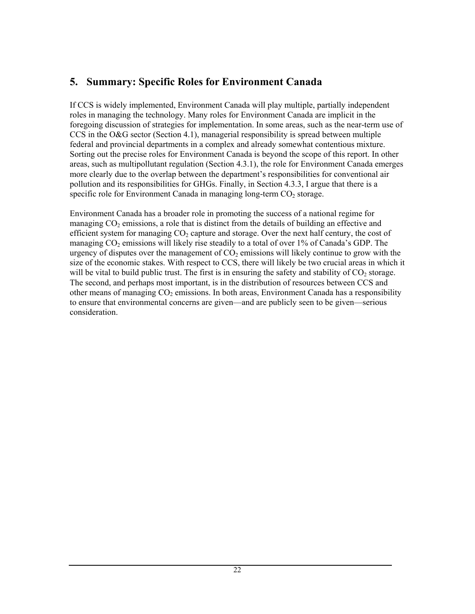# **5. Summary: Specific Roles for Environment Canada**

If CCS is widely implemented, Environment Canada will play multiple, partially independent roles in managing the technology. Many roles for Environment Canada are implicit in the foregoing discussion of strategies for implementation. In some areas, such as the near-term use of CCS in the O&G sector (Section 4.1), managerial responsibility is spread between multiple federal and provincial departments in a complex and already somewhat contentious mixture. Sorting out the precise roles for Environment Canada is beyond the scope of this report. In other areas, such as multipollutant regulation (Section 4.3.1), the role for Environment Canada emerges more clearly due to the overlap between the department's responsibilities for conventional air pollution and its responsibilities for GHGs. Finally, in Section 4.3.3, I argue that there is a specific role for Environment Canada in managing long-term  $CO<sub>2</sub>$  storage.

Environment Canada has a broader role in promoting the success of a national regime for managing  $CO<sub>2</sub>$  emissions, a role that is distinct from the details of building an effective and efficient system for managing  $CO<sub>2</sub>$  capture and storage. Over the next half century, the cost of managing  $CO<sub>2</sub>$  emissions will likely rise steadily to a total of over 1% of Canada's GDP. The urgency of disputes over the management of  $CO<sub>2</sub>$  emissions will likely continue to grow with the size of the economic stakes. With respect to CCS, there will likely be two crucial areas in which it will be vital to build public trust. The first is in ensuring the safety and stability of  $CO<sub>2</sub>$  storage. The second, and perhaps most important, is in the distribution of resources between CCS and other means of managing  $CO<sub>2</sub>$  emissions. In both areas, Environment Canada has a responsibility to ensure that environmental concerns are given—and are publicly seen to be given—serious consideration.